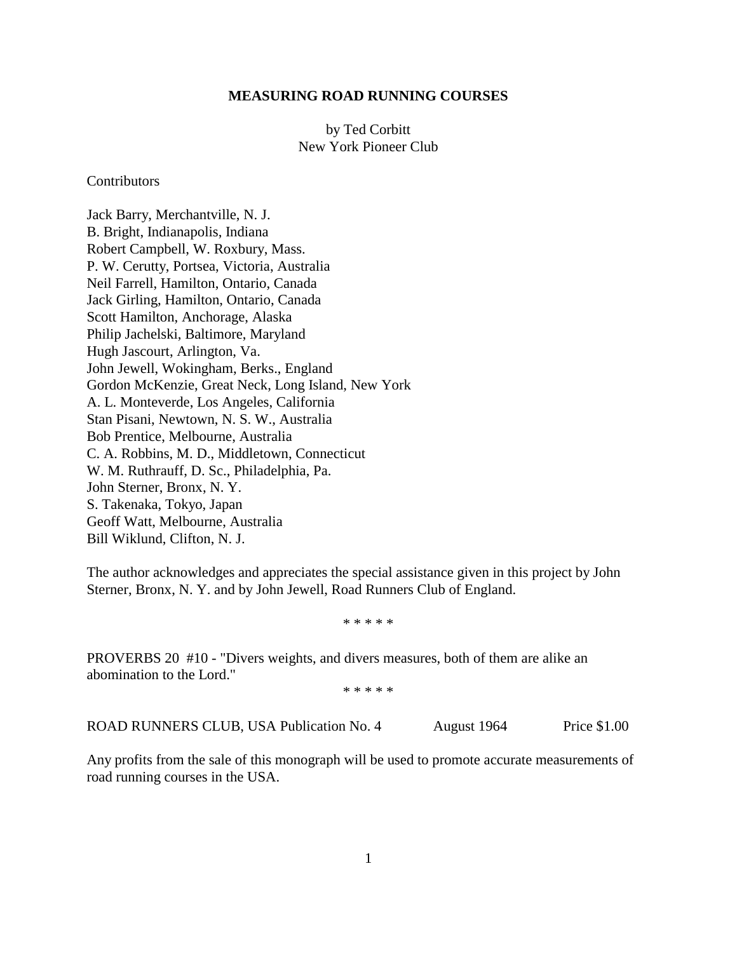#### **MEASURING ROAD RUNNING COURSES**

### by Ted Corbitt New York Pioneer Club

#### Contributors

Jack Barry, Merchantville, N. J. B. Bright, Indianapolis, Indiana Robert Campbell, W. Roxbury, Mass. P. W. Cerutty, Portsea, Victoria, Australia Neil Farrell, Hamilton, Ontario, Canada Jack Girling, Hamilton, Ontario, Canada Scott Hamilton, Anchorage, Alaska Philip Jachelski, Baltimore, Maryland Hugh Jascourt, Arlington, Va. John Jewell, Wokingham, Berks., England Gordon McKenzie, Great Neck, Long Island, New York A. L. Monteverde, Los Angeles, California Stan Pisani, Newtown, N. S. W., Australia Bob Prentice, Melbourne, Australia C. A. Robbins, M. D., Middletown, Connecticut W. M. Ruthrauff, D. Sc., Philadelphia, Pa. John Sterner, Bronx, N. Y. S. Takenaka, Tokyo, Japan Geoff Watt, Melbourne, Australia Bill Wiklund, Clifton, N. J.

The author acknowledges and appreciates the special assistance given in this project by John Sterner, Bronx, N. Y. and by John Jewell, Road Runners Club of England.

\* \* \* \* \*

PROVERBS 20 #10 - "Divers weights, and divers measures, both of them are alike an abomination to the Lord."

\* \* \* \* \*

ROAD RUNNERS CLUB, USA Publication No. 4 August 1964 Price \$1.00

Any profits from the sale of this monograph will be used to promote accurate measurements of road running courses in the USA.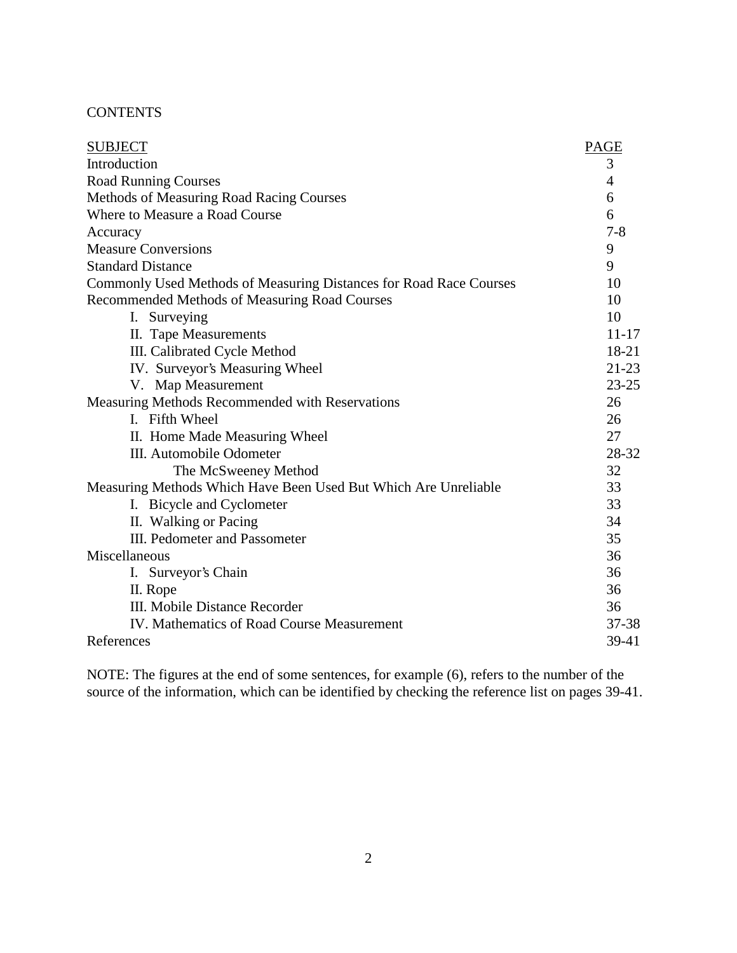# **CONTENTS**

| <b>SUBJECT</b>                                                     | <b>PAGE</b>    |
|--------------------------------------------------------------------|----------------|
| Introduction                                                       | 3              |
| <b>Road Running Courses</b>                                        | $\overline{4}$ |
| Methods of Measuring Road Racing Courses                           | 6              |
| Where to Measure a Road Course                                     | 6              |
| Accuracy                                                           | $7 - 8$        |
| <b>Measure Conversions</b>                                         | 9              |
| <b>Standard Distance</b>                                           | 9              |
| Commonly Used Methods of Measuring Distances for Road Race Courses | 10             |
| Recommended Methods of Measuring Road Courses                      | 10             |
| I. Surveying                                                       | 10             |
| II. Tape Measurements                                              | $11 - 17$      |
| III. Calibrated Cycle Method                                       | 18-21          |
| IV. Surveyor's Measuring Wheel                                     | $21 - 23$      |
| V. Map Measurement                                                 | $23 - 25$      |
| Measuring Methods Recommended with Reservations                    | 26             |
| I. Fifth Wheel                                                     | 26             |
| II. Home Made Measuring Wheel                                      | 27             |
| III. Automobile Odometer                                           | 28-32          |
| The McSweeney Method                                               | 32             |
| Measuring Methods Which Have Been Used But Which Are Unreliable    | 33             |
| I. Bicycle and Cyclometer                                          | 33             |
| II. Walking or Pacing                                              | 34             |
| III. Pedometer and Passometer                                      | 35             |
| Miscellaneous                                                      | 36             |
| I. Surveyor's Chain                                                | 36             |
| II. Rope                                                           | 36             |
| III. Mobile Distance Recorder                                      | 36             |
| IV. Mathematics of Road Course Measurement                         | 37-38          |
| References                                                         | 39-41          |

NOTE: The figures at the end of some sentences, for example (6), refers to the number of the source of the information, which can be identified by checking the reference list on pages 39-41.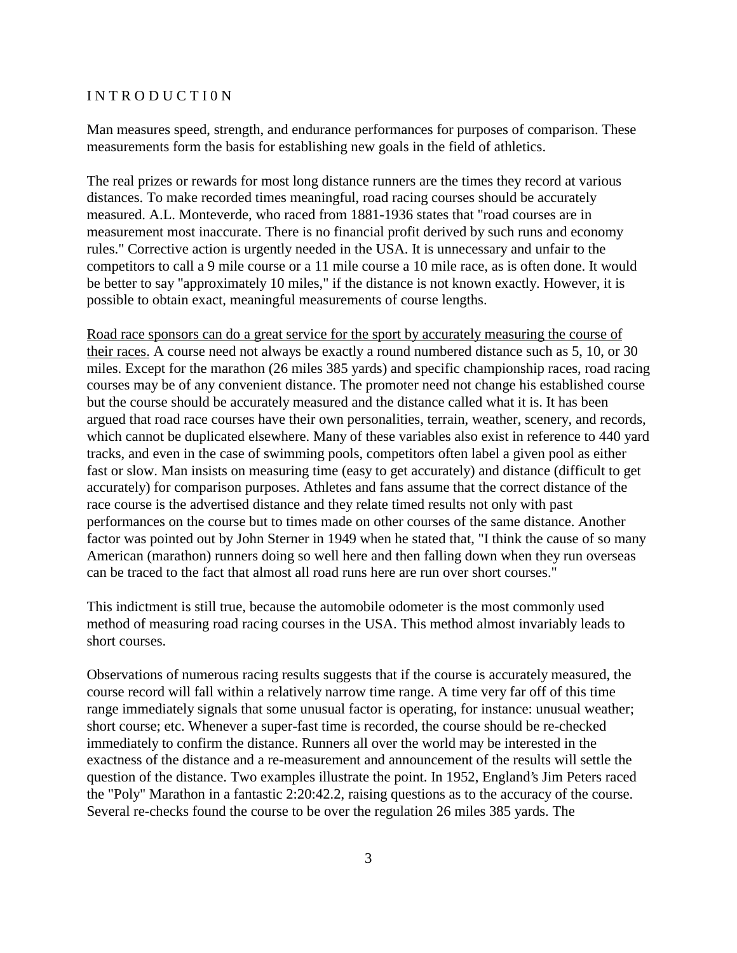### I N T R O D U C T I 0 N

Man measures speed, strength, and endurance performances for purposes of comparison. These measurements form the basis for establishing new goals in the field of athletics.

The real prizes or rewards for most long distance runners are the times they record at various distances. To make recorded times meaningful, road racing courses should be accurately measured. A.L. Monteverde, who raced from 1881-1936 states that "road courses are in measurement most inaccurate. There is no financial profit derived by such runs and economy rules." Corrective action is urgently needed in the USA. It is unnecessary and unfair to the competitors to call a 9 mile course or a 11 mile course a 10 mile race, as is often done. It would be better to say "approximately 10 miles," if the distance is not known exactly. However, it is possible to obtain exact, meaningful measurements of course lengths.

Road race sponsors can do a great service for the sport by accurately measuring the course of their races. A course need not always be exactly a round numbered distance such as 5, 10, or 30 miles. Except for the marathon (26 miles 385 yards) and specific championship races, road racing courses may be of any convenient distance. The promoter need not change his established course but the course should be accurately measured and the distance called what it is. It has been argued that road race courses have their own personalities, terrain, weather, scenery, and records, which cannot be duplicated elsewhere. Many of these variables also exist in reference to 440 yard tracks, and even in the case of swimming pools, competitors often label a given pool as either fast or slow. Man insists on measuring time (easy to get accurately) and distance (difficult to get accurately) for comparison purposes. Athletes and fans assume that the correct distance of the race course is the advertised distance and they relate timed results not only with past performances on the course but to times made on other courses of the same distance. Another factor was pointed out by John Sterner in 1949 when he stated that, "I think the cause of so many American (marathon) runners doing so well here and then falling down when they run overseas can be traced to the fact that almost all road runs here are run over short courses."

This indictment is still true, because the automobile odometer is the most commonly used method of measuring road racing courses in the USA. This method almost invariably leads to short courses.

Observations of numerous racing results suggests that if the course is accurately measured, the course record will fall within a relatively narrow time range. A time very far off of this time range immediately signals that some unusual factor is operating, for instance: unusual weather; short course; etc. Whenever a super-fast time is recorded, the course should be re-checked immediately to confirm the distance. Runners all over the world may be interested in the exactness of the distance and a re-measurement and announcement of the results will settle the question of the distance. Two examples illustrate the point. In 1952, England's Jim Peters raced the "Poly" Marathon in a fantastic 2:20:42.2, raising questions as to the accuracy of the course. Several re-checks found the course to be over the regulation 26 miles 385 yards. The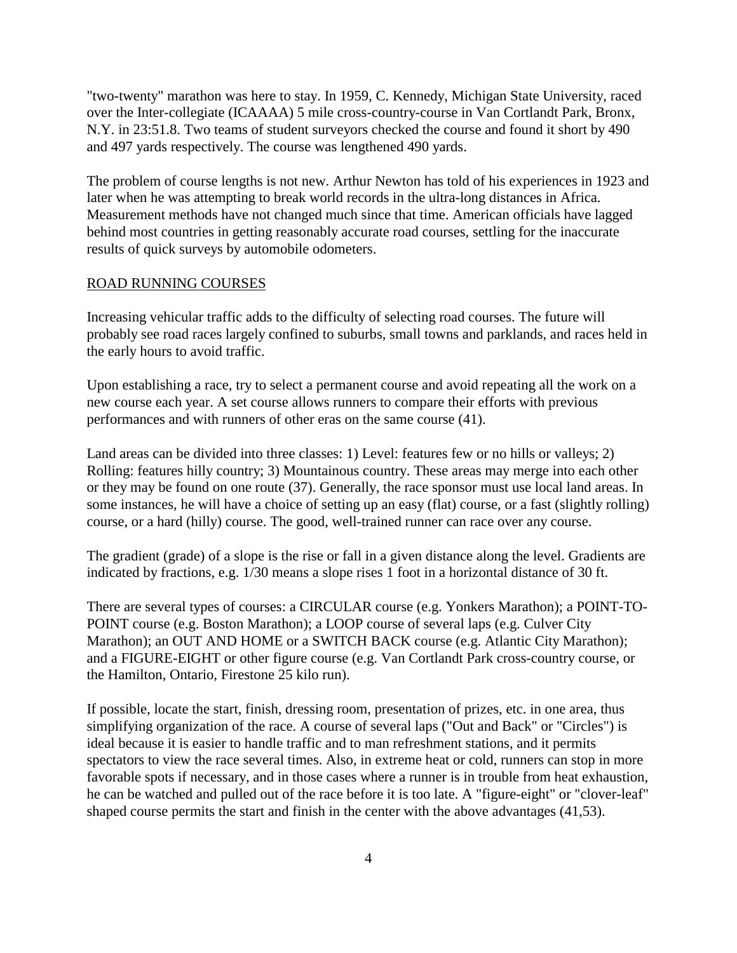"two-twenty" marathon was here to stay. In 1959, C. Kennedy, Michigan State University, raced over the Inter-collegiate (ICAAAA) 5 mile cross-country-course in Van Cortlandt Park, Bronx, N.Y. in 23:51.8. Two teams of student surveyors checked the course and found it short by 490 and 497 yards respectively. The course was lengthened 490 yards.

The problem of course lengths is not new. Arthur Newton has told of his experiences in 1923 and later when he was attempting to break world records in the ultra-long distances in Africa. Measurement methods have not changed much since that time. American officials have lagged behind most countries in getting reasonably accurate road courses, settling for the inaccurate results of quick surveys by automobile odometers.

#### ROAD RUNNING COURSES

Increasing vehicular traffic adds to the difficulty of selecting road courses. The future will probably see road races largely confined to suburbs, small towns and parklands, and races held in the early hours to avoid traffic.

Upon establishing a race, try to select a permanent course and avoid repeating all the work on a new course each year. A set course allows runners to compare their efforts with previous performances and with runners of other eras on the same course (41).

Land areas can be divided into three classes: 1) Level: features few or no hills or valleys; 2) Rolling: features hilly country; 3) Mountainous country. These areas may merge into each other or they may be found on one route (37). Generally, the race sponsor must use local land areas. In some instances, he will have a choice of setting up an easy (flat) course, or a fast (slightly rolling) course, or a hard (hilly) course. The good, well-trained runner can race over any course.

The gradient (grade) of a slope is the rise or fall in a given distance along the level. Gradients are indicated by fractions, e.g. 1/30 means a slope rises 1 foot in a horizontal distance of 30 ft.

There are several types of courses: a CIRCULAR course (e.g. Yonkers Marathon); a POINT-TO-POINT course (e.g. Boston Marathon); a LOOP course of several laps (e.g. Culver City Marathon); an OUT AND HOME or a SWITCH BACK course (e.g. Atlantic City Marathon); and a FIGURE-EIGHT or other figure course (e.g. Van Cortlandt Park cross-country course, or the Hamilton, Ontario, Firestone 25 kilo run).

If possible, locate the start, finish, dressing room, presentation of prizes, etc. in one area, thus simplifying organization of the race. A course of several laps ("Out and Back" or "Circles") is ideal because it is easier to handle traffic and to man refreshment stations, and it permits spectators to view the race several times. Also, in extreme heat or cold, runners can stop in more favorable spots if necessary, and in those cases where a runner is in trouble from heat exhaustion, he can be watched and pulled out of the race before it is too late. A "figure-eight" or "clover-leaf" shaped course permits the start and finish in the center with the above advantages (41,53).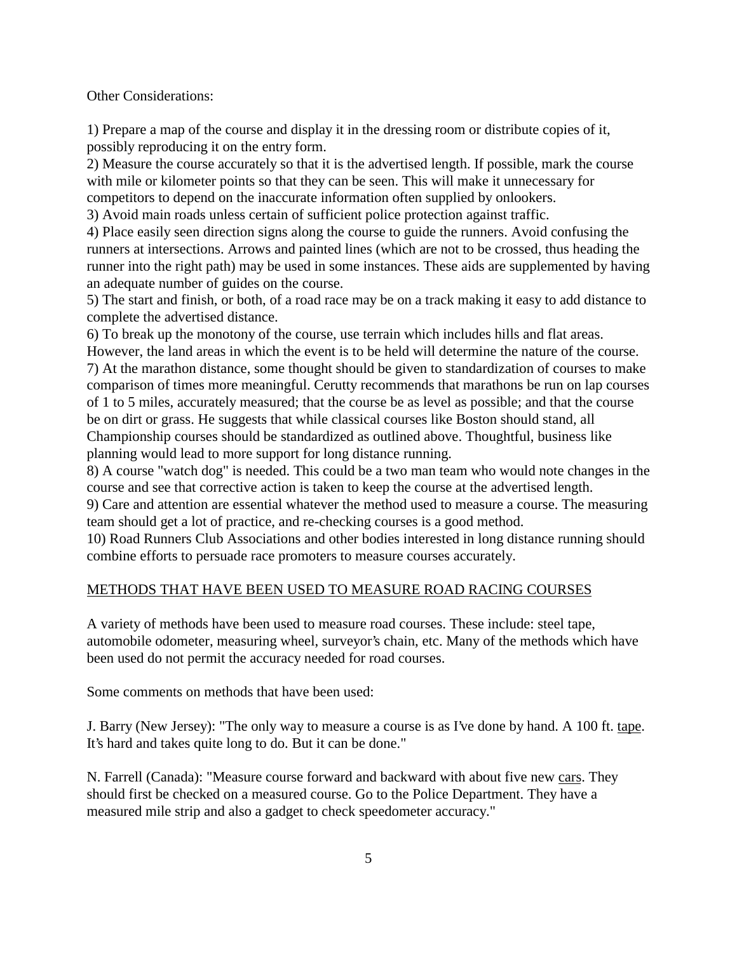Other Considerations:

1) Prepare a map of the course and display it in the dressing room or distribute copies of it, possibly reproducing it on the entry form.

2) Measure the course accurately so that it is the advertised length. If possible, mark the course with mile or kilometer points so that they can be seen. This will make it unnecessary for competitors to depend on the inaccurate information often supplied by onlookers. 3) Avoid main roads unless certain of sufficient police protection against traffic.

4) Place easily seen direction signs along the course to guide the runners. Avoid confusing the runners at intersections. Arrows and painted lines (which are not to be crossed, thus heading the runner into the right path) may be used in some instances. These aids are supplemented by having an adequate number of guides on the course.

5) The start and finish, or both, of a road race may be on a track making it easy to add distance to complete the advertised distance.

6) To break up the monotony of the course, use terrain which includes hills and flat areas. However, the land areas in which the event is to be held will determine the nature of the course. 7) At the marathon distance, some thought should be given to standardization of courses to make comparison of times more meaningful. Cerutty recommends that marathons be run on lap courses of 1 to 5 miles, accurately measured; that the course be as level as possible; and that the course be on dirt or grass. He suggests that while classical courses like Boston should stand, all Championship courses should be standardized as outlined above. Thoughtful, business like planning would lead to more support for long distance running.

8) A course "watch dog" is needed. This could be a two man team who would note changes in the course and see that corrective action is taken to keep the course at the advertised length.

9) Care and attention are essential whatever the method used to measure a course. The measuring team should get a lot of practice, and re-checking courses is a good method.

10) Road Runners Club Associations and other bodies interested in long distance running should combine efforts to persuade race promoters to measure courses accurately.

# METHODS THAT HAVE BEEN USED TO MEASURE ROAD RACING COURSES

A variety of methods have been used to measure road courses. These include: steel tape, automobile odometer, measuring wheel, surveyor's chain, etc. Many of the methods which have been used do not permit the accuracy needed for road courses.

Some comments on methods that have been used:

J. Barry (New Jersey): "The only way to measure a course is as I've done by hand. A 100 ft. tape. It's hard and takes quite long to do. But it can be done."

N. Farrell (Canada): "Measure course forward and backward with about five new cars. They should first be checked on a measured course. Go to the Police Department. They have a measured mile strip and also a gadget to check speedometer accuracy."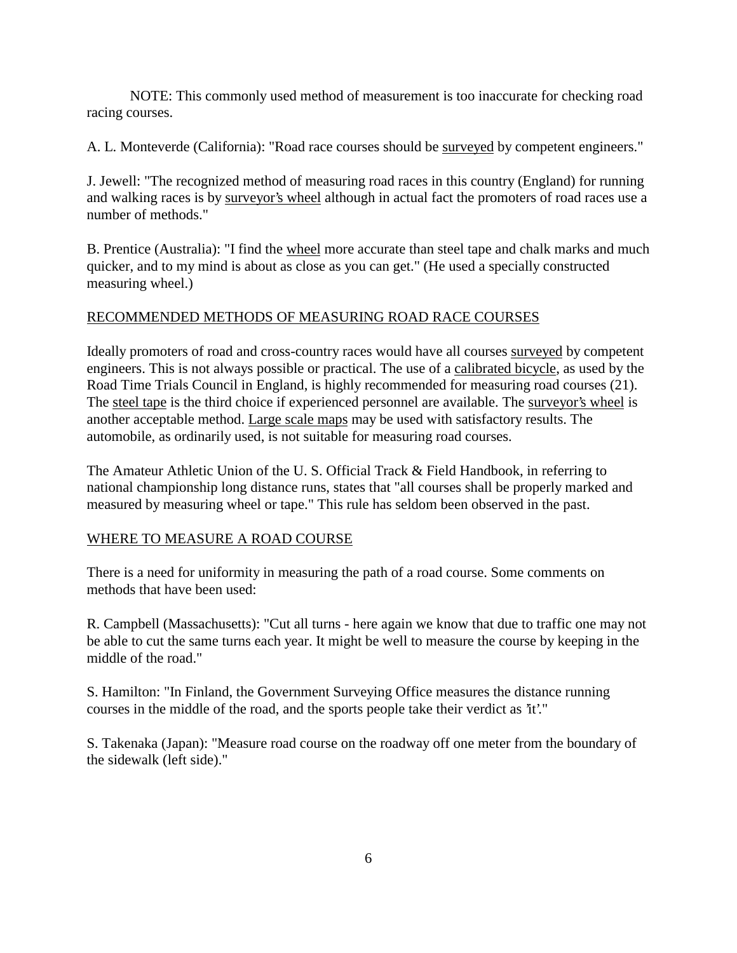NOTE: This commonly used method of measurement is too inaccurate for checking road racing courses.

A. L. Monteverde (California): "Road race courses should be surveyed by competent engineers."

J. Jewell: "The recognized method of measuring road races in this country (England) for running and walking races is by surveyor's wheel although in actual fact the promoters of road races use a number of methods."

B. Prentice (Australia): "I find the wheel more accurate than steel tape and chalk marks and much quicker, and to my mind is about as close as you can get." (He used a specially constructed measuring wheel.)

# RECOMMENDED METHODS OF MEASURING ROAD RACE COURSES

Ideally promoters of road and cross-country races would have all courses surveyed by competent engineers. This is not always possible or practical. The use of a calibrated bicycle, as used by the Road Time Trials Council in England, is highly recommended for measuring road courses (21). The steel tape is the third choice if experienced personnel are available. The surveyor's wheel is another acceptable method. Large scale maps may be used with satisfactory results. The automobile, as ordinarily used, is not suitable for measuring road courses.

The Amateur Athletic Union of the U. S. Official Track & Field Handbook, in referring to national championship long distance runs, states that "all courses shall be properly marked and measured by measuring wheel or tape." This rule has seldom been observed in the past.

# WHERE TO MEASURE A ROAD COURSE

There is a need for uniformity in measuring the path of a road course. Some comments on methods that have been used:

R. Campbell (Massachusetts): "Cut all turns - here again we know that due to traffic one may not be able to cut the same turns each year. It might be well to measure the course by keeping in the middle of the road."

S. Hamilton: "In Finland, the Government Surveying Office measures the distance running courses in the middle of the road, and the sports people take their verdict as 'it'."

S. Takenaka (Japan): "Measure road course on the roadway off one meter from the boundary of the sidewalk (left side)."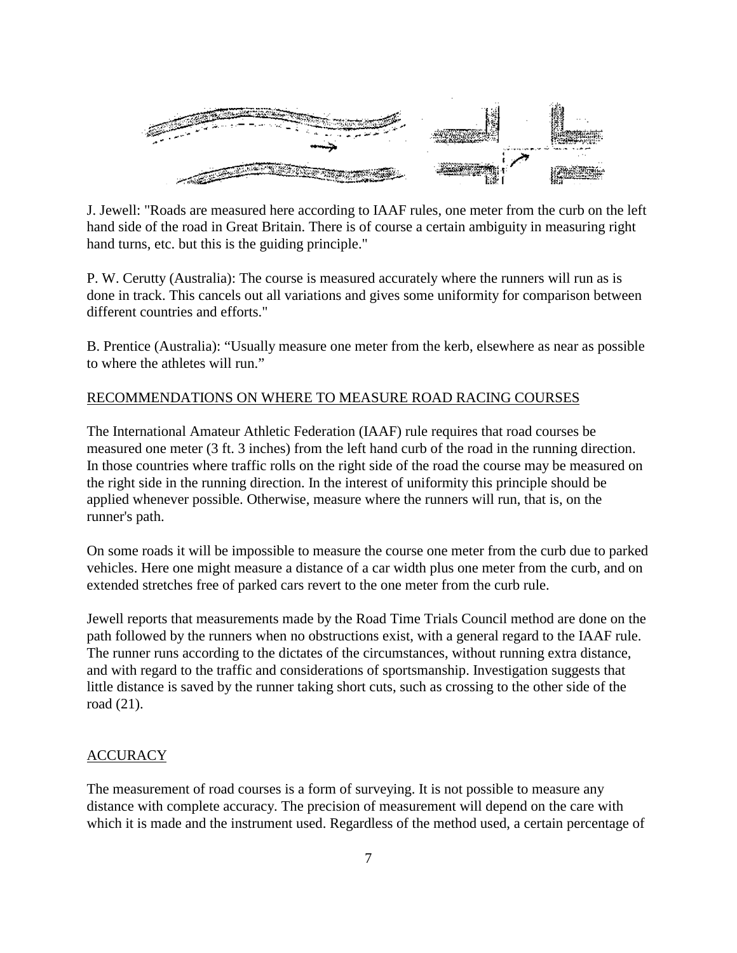

J. Jewell: "Roads are measured here according to IAAF rules, one meter from the curb on the left hand side of the road in Great Britain. There is of course a certain ambiguity in measuring right hand turns, etc. but this is the guiding principle."

P. W. Cerutty (Australia): The course is measured accurately where the runners will run as is done in track. This cancels out all variations and gives some uniformity for comparison between different countries and efforts."

B. Prentice (Australia): "Usually measure one meter from the kerb, elsewhere as near as possible to where the athletes will run."

## RECOMMENDATIONS ON WHERE TO MEASURE ROAD RACING COURSES

The International Amateur Athletic Federation (IAAF) rule requires that road courses be measured one meter (3 ft. 3 inches) from the left hand curb of the road in the running direction. In those countries where traffic rolls on the right side of the road the course may be measured on the right side in the running direction. In the interest of uniformity this principle should be applied whenever possible. Otherwise, measure where the runners will run, that is, on the runner's path.

On some roads it will be impossible to measure the course one meter from the curb due to parked vehicles. Here one might measure a distance of a car width plus one meter from the curb, and on extended stretches free of parked cars revert to the one meter from the curb rule.

Jewell reports that measurements made by the Road Time Trials Council method are done on the path followed by the runners when no obstructions exist, with a general regard to the IAAF rule. The runner runs according to the dictates of the circumstances, without running extra distance, and with regard to the traffic and considerations of sportsmanship. Investigation suggests that little distance is saved by the runner taking short cuts, such as crossing to the other side of the road (21).

## **ACCURACY**

The measurement of road courses is a form of surveying. It is not possible to measure any distance with complete accuracy. The precision of measurement will depend on the care with which it is made and the instrument used. Regardless of the method used, a certain percentage of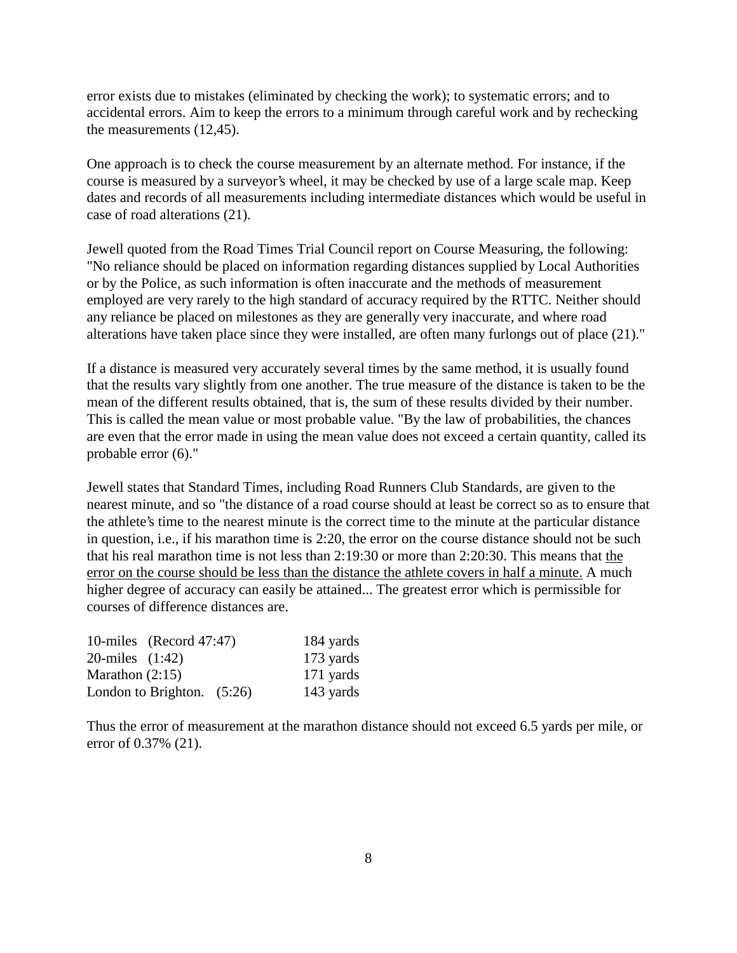error exists due to mistakes (eliminated by checking the work); to systematic errors; and to accidental errors. Aim to keep the errors to a minimum through careful work and by rechecking the measurements (12,45).

One approach is to check the course measurement by an alternate method. For instance, if the course is measured by a surveyor's wheel, it may be checked by use of a large scale map. Keep dates and records of all measurements including intermediate distances which would be useful in case of road alterations (21).

Jewell quoted from the Road Times Trial Council report on Course Measuring, the following: "No reliance should be placed on information regarding distances supplied by Local Authorities or by the Police, as such information is often inaccurate and the methods of measurement employed are very rarely to the high standard of accuracy required by the RTTC. Neither should any reliance be placed on milestones as they are generally very inaccurate, and where road alterations have taken place since they were installed, are often many furlongs out of place (21)."

If a distance is measured very accurately several times by the same method, it is usually found that the results vary slightly from one another. The true measure of the distance is taken to be the mean of the different results obtained, that is, the sum of these results divided by their number. This is called the mean value or most probable value. "By the law of probabilities, the chances are even that the error made in using the mean value does not exceed a certain quantity, called its probable error (6)."

Jewell states that Standard Times, including Road Runners Club Standards, are given to the nearest minute, and so "the distance of a road course should at least be correct so as to ensure that the athlete's time to the nearest minute is the correct time to the minute at the particular distance in question, i.e., if his marathon time is 2:20, the error on the course distance should not be such that his real marathon time is not less than 2:19:30 or more than 2:20:30. This means that the error on the course should be less than the distance the athlete covers in half a minute. A much higher degree of accuracy can easily be attained... The greatest error which is permissible for courses of difference distances are.

| 10-miles (Record $47:47$ )   | 184 yards |
|------------------------------|-----------|
| 20-miles (1:42)              | 173 yards |
| Marathon $(2:15)$            | 171 yards |
| London to Brighton. $(5:26)$ | 143 yards |

Thus the error of measurement at the marathon distance should not exceed 6.5 yards per mile, or error of 0.37% (21).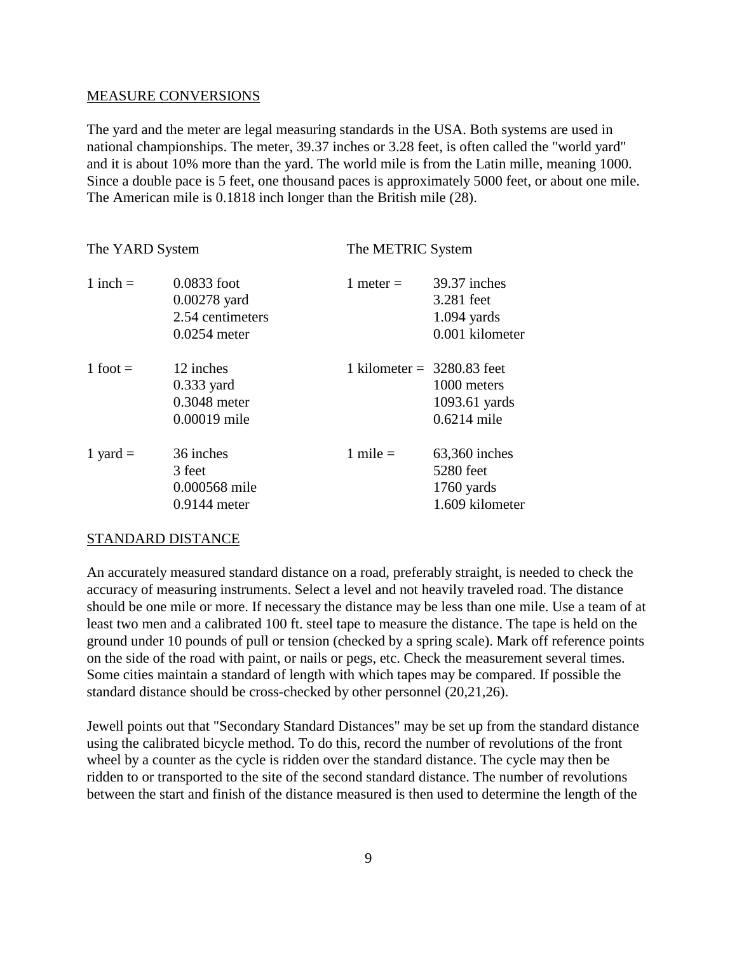#### MEASURE CONVERSIONS

The yard and the meter are legal measuring standards in the USA. Both systems are used in national championships. The meter, 39.37 inches or 3.28 feet, is often called the "world yard" and it is about 10% more than the yard. The world mile is from the Latin mille, meaning 1000. Since a double pace is 5 feet, one thousand paces is approximately 5000 feet, or about one mile. The American mile is 0.1818 inch longer than the British mile (28).

The YARD System The METRIC System

| $1$ inch = | 0.0833 foot<br>$0.00278$ yard<br>2.54 centimeters<br>$0.0254$ meter | 1 meter $=$                  | 39.37 inches<br>3.281 feet<br>$1.094$ yards<br>0.001 kilometer |
|------------|---------------------------------------------------------------------|------------------------------|----------------------------------------------------------------|
| 1 foot $=$ | 12 inches<br>$0.333$ yard<br>0.3048 meter<br>0.00019 mile           | 1 kilometer = $3280.83$ feet | 1000 meters<br>1093.61 yards<br>$0.6214$ mile                  |
| 1 yard $=$ | 36 inches<br>3 feet<br>0.000568 mile<br>$0.9144$ meter              | 1 mile $=$                   | 63,360 inches<br>5280 feet<br>1760 yards<br>1.609 kilometer    |

#### STANDARD DISTANCE

An accurately measured standard distance on a road, preferably straight, is needed to check the accuracy of measuring instruments. Select a level and not heavily traveled road. The distance should be one mile or more. If necessary the distance may be less than one mile. Use a team of at least two men and a calibrated 100 ft. steel tape to measure the distance. The tape is held on the ground under 10 pounds of pull or tension (checked by a spring scale). Mark off reference points on the side of the road with paint, or nails or pegs, etc. Check the measurement several times. Some cities maintain a standard of length with which tapes may be compared. If possible the standard distance should be cross-checked by other personnel (20,21,26).

Jewell points out that "Secondary Standard Distances" may be set up from the standard distance using the calibrated bicycle method. To do this, record the number of revolutions of the front wheel by a counter as the cycle is ridden over the standard distance. The cycle may then be ridden to or transported to the site of the second standard distance. The number of revolutions between the start and finish of the distance measured is then used to determine the length of the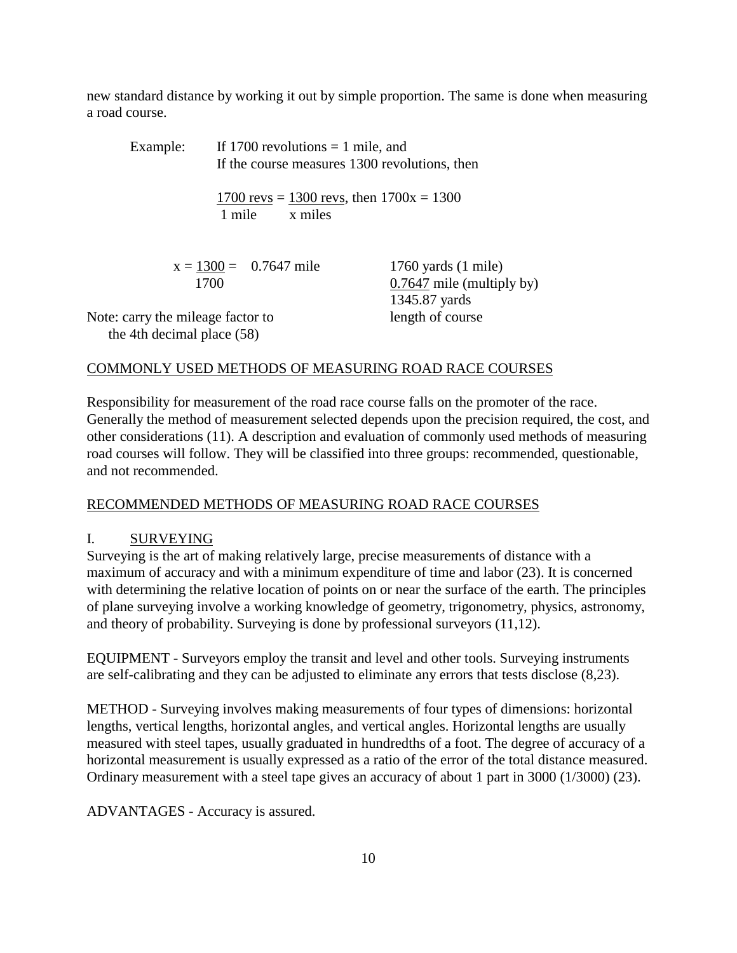new standard distance by working it out by simple proportion. The same is done when measuring a road course.

| Example:                          | If 1700 revolutions $= 1$ mile, and                             |                                 |  |
|-----------------------------------|-----------------------------------------------------------------|---------------------------------|--|
|                                   | If the course measures 1300 revolutions, then                   |                                 |  |
|                                   | 1700 revs = 1300 revs, then $1700x = 1300$<br>1 mile<br>x miles |                                 |  |
|                                   | $x = 1300 = 0.7647$ mile                                        | $1760$ yards $(1 \text{ mile})$ |  |
|                                   | 1700                                                            | $0.7647$ mile (multiply by)     |  |
|                                   |                                                                 | 1345.87 yards                   |  |
| Note: carry the mileage factor to |                                                                 | length of course                |  |
| the 4th decimal place (58)        |                                                                 |                                 |  |

### COMMONLY USED METHODS OF MEASURING ROAD RACE COURSES

Responsibility for measurement of the road race course falls on the promoter of the race. Generally the method of measurement selected depends upon the precision required, the cost, and other considerations (11). A description and evaluation of commonly used methods of measuring road courses will follow. They will be classified into three groups: recommended, questionable, and not recommended.

### RECOMMENDED METHODS OF MEASURING ROAD RACE COURSES

### I. SURVEYING

Surveying is the art of making relatively large, precise measurements of distance with a maximum of accuracy and with a minimum expenditure of time and labor (23). It is concerned with determining the relative location of points on or near the surface of the earth. The principles of plane surveying involve a working knowledge of geometry, trigonometry, physics, astronomy, and theory of probability. Surveying is done by professional surveyors (11,12).

EQUIPMENT - Surveyors employ the transit and level and other tools. Surveying instruments are self-calibrating and they can be adjusted to eliminate any errors that tests disclose (8,23).

METHOD - Surveying involves making measurements of four types of dimensions: horizontal lengths, vertical lengths, horizontal angles, and vertical angles. Horizontal lengths are usually measured with steel tapes, usually graduated in hundredths of a foot. The degree of accuracy of a horizontal measurement is usually expressed as a ratio of the error of the total distance measured. Ordinary measurement with a steel tape gives an accuracy of about 1 part in 3000 (1/3000) (23).

ADVANTAGES - Accuracy is assured.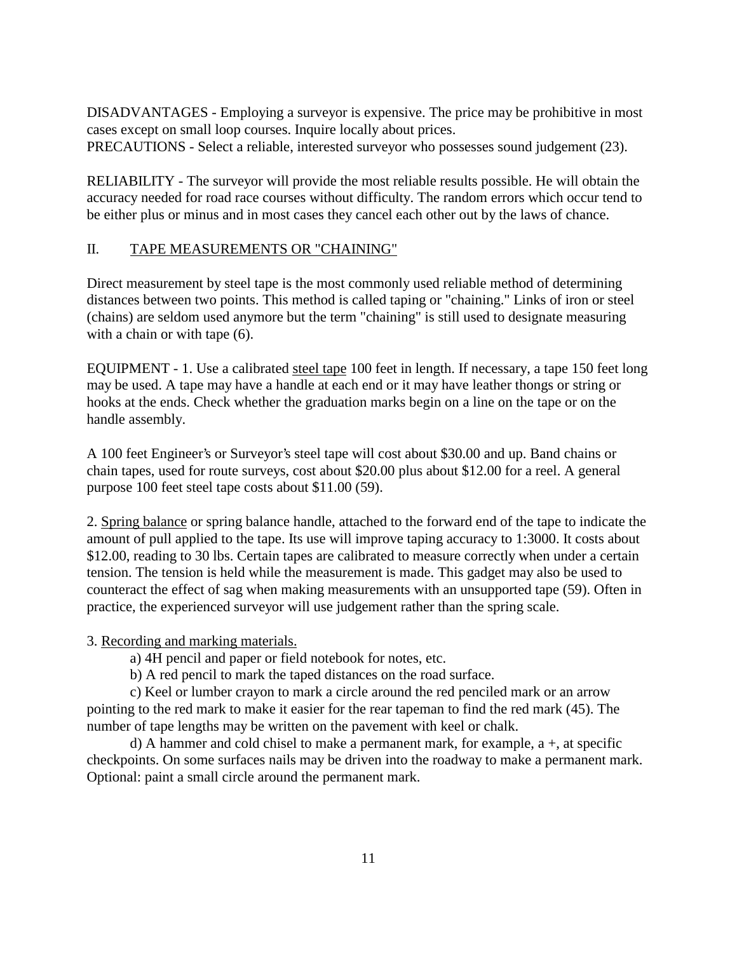DISADVANTAGES - Employing a surveyor is expensive. The price may be prohibitive in most cases except on small loop courses. Inquire locally about prices. PRECAUTIONS - Select a reliable, interested surveyor who possesses sound judgement (23).

RELIABILITY - The surveyor will provide the most reliable results possible. He will obtain the accuracy needed for road race courses without difficulty. The random errors which occur tend to be either plus or minus and in most cases they cancel each other out by the laws of chance.

# II. TAPE MEASUREMENTS OR "CHAINING"

Direct measurement by steel tape is the most commonly used reliable method of determining distances between two points. This method is called taping or "chaining." Links of iron or steel (chains) are seldom used anymore but the term "chaining" is still used to designate measuring with a chain or with tape  $(6)$ .

EQUIPMENT - 1. Use a calibrated steel tape 100 feet in length. If necessary, a tape 150 feet long may be used. A tape may have a handle at each end or it may have leather thongs or string or hooks at the ends. Check whether the graduation marks begin on a line on the tape or on the handle assembly.

A 100 feet Engineer's or Surveyor's steel tape will cost about \$30.00 and up. Band chains or chain tapes, used for route surveys, cost about \$20.00 plus about \$12.00 for a reel. A general purpose 100 feet steel tape costs about \$11.00 (59).

2. Spring balance or spring balance handle, attached to the forward end of the tape to indicate the amount of pull applied to the tape. Its use will improve taping accuracy to 1:3000. It costs about \$12.00, reading to 30 lbs. Certain tapes are calibrated to measure correctly when under a certain tension. The tension is held while the measurement is made. This gadget may also be used to counteract the effect of sag when making measurements with an unsupported tape (59). Often in practice, the experienced surveyor will use judgement rather than the spring scale.

## 3. Recording and marking materials.

a) 4H pencil and paper or field notebook for notes, etc.

b) A red pencil to mark the taped distances on the road surface.

c) Keel or lumber crayon to mark a circle around the red penciled mark or an arrow pointing to the red mark to make it easier for the rear tapeman to find the red mark (45). The number of tape lengths may be written on the pavement with keel or chalk.

d) A hammer and cold chisel to make a permanent mark, for example, a +, at specific checkpoints. On some surfaces nails may be driven into the roadway to make a permanent mark. Optional: paint a small circle around the permanent mark.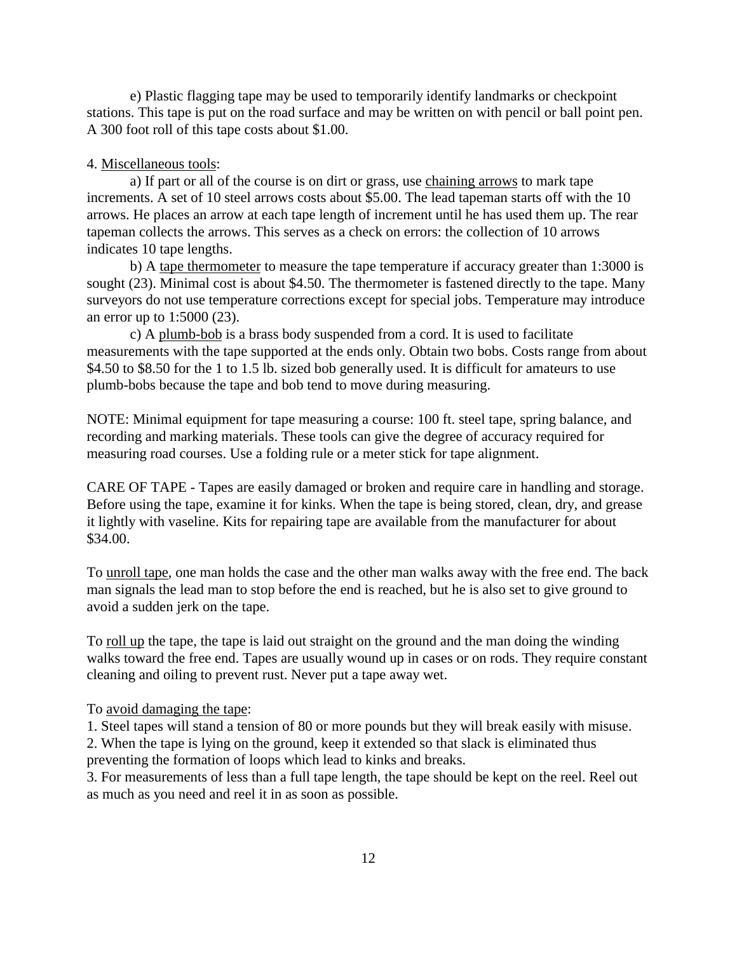e) Plastic flagging tape may be used to temporarily identify landmarks or checkpoint stations. This tape is put on the road surface and may be written on with pencil or ball point pen. A 300 foot roll of this tape costs about \$1.00.

### 4. Miscellaneous tools:

a) If part or all of the course is on dirt or grass, use chaining arrows to mark tape increments. A set of 10 steel arrows costs about \$5.00. The lead tapeman starts off with the 10 arrows. He places an arrow at each tape length of increment until he has used them up. The rear tapeman collects the arrows. This serves as a check on errors: the collection of 10 arrows indicates 10 tape lengths.

b) A tape thermometer to measure the tape temperature if accuracy greater than 1:3000 is sought (23). Minimal cost is about \$4.50. The thermometer is fastened directly to the tape. Many surveyors do not use temperature corrections except for special jobs. Temperature may introduce an error up to 1:5000 (23).

c) A plumb-bob is a brass body suspended from a cord. It is used to facilitate measurements with the tape supported at the ends only. Obtain two bobs. Costs range from about \$4.50 to \$8.50 for the 1 to 1.5 lb. sized bob generally used. It is difficult for amateurs to use plumb-bobs because the tape and bob tend to move during measuring.

NOTE: Minimal equipment for tape measuring a course: 100 ft. steel tape, spring balance, and recording and marking materials. These tools can give the degree of accuracy required for measuring road courses. Use a folding rule or a meter stick for tape alignment.

CARE OF TAPE - Tapes are easily damaged or broken and require care in handling and storage. Before using the tape, examine it for kinks. When the tape is being stored, clean, dry, and grease it lightly with vaseline. Kits for repairing tape are available from the manufacturer for about \$34.00.

To unroll tape, one man holds the case and the other man walks away with the free end. The back man signals the lead man to stop before the end is reached, but he is also set to give ground to avoid a sudden jerk on the tape.

To roll up the tape, the tape is laid out straight on the ground and the man doing the winding walks toward the free end. Tapes are usually wound up in cases or on rods. They require constant cleaning and oiling to prevent rust. Never put a tape away wet.

### To avoid damaging the tape:

1. Steel tapes will stand a tension of 80 or more pounds but they will break easily with misuse.

2. When the tape is lying on the ground, keep it extended so that slack is eliminated thus preventing the formation of loops which lead to kinks and breaks.

3. For measurements of less than a full tape length, the tape should be kept on the reel. Reel out as much as you need and reel it in as soon as possible.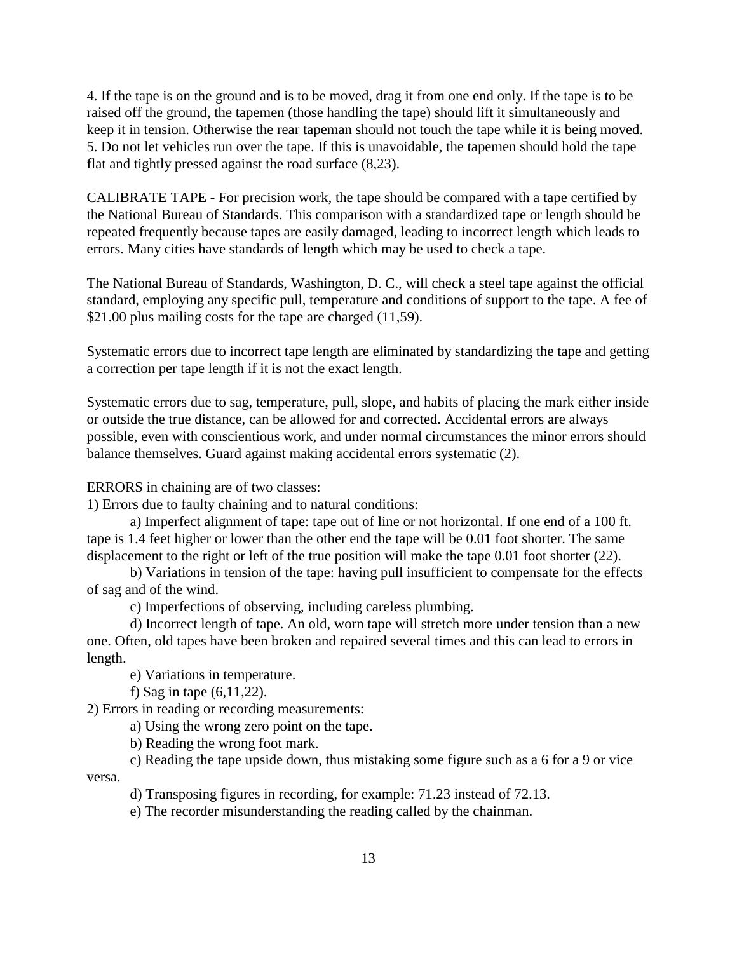4. If the tape is on the ground and is to be moved, drag it from one end only. If the tape is to be raised off the ground, the tapemen (those handling the tape) should lift it simultaneously and keep it in tension. Otherwise the rear tapeman should not touch the tape while it is being moved. 5. Do not let vehicles run over the tape. If this is unavoidable, the tapemen should hold the tape flat and tightly pressed against the road surface (8,23).

CALIBRATE TAPE - For precision work, the tape should be compared with a tape certified by the National Bureau of Standards. This comparison with a standardized tape or length should be repeated frequently because tapes are easily damaged, leading to incorrect length which leads to errors. Many cities have standards of length which may be used to check a tape.

The National Bureau of Standards, Washington, D. C., will check a steel tape against the official standard, employing any specific pull, temperature and conditions of support to the tape. A fee of \$21.00 plus mailing costs for the tape are charged (11,59).

Systematic errors due to incorrect tape length are eliminated by standardizing the tape and getting a correction per tape length if it is not the exact length.

Systematic errors due to sag, temperature, pull, slope, and habits of placing the mark either inside or outside the true distance, can be allowed for and corrected. Accidental errors are always possible, even with conscientious work, and under normal circumstances the minor errors should balance themselves. Guard against making accidental errors systematic (2).

ERRORS in chaining are of two classes:

1) Errors due to faulty chaining and to natural conditions:

a) Imperfect alignment of tape: tape out of line or not horizontal. If one end of a 100 ft. tape is 1.4 feet higher or lower than the other end the tape will be 0.01 foot shorter. The same displacement to the right or left of the true position will make the tape 0.01 foot shorter (22).

b) Variations in tension of the tape: having pull insufficient to compensate for the effects of sag and of the wind.

c) Imperfections of observing, including careless plumbing.

d) Incorrect length of tape. An old, worn tape will stretch more under tension than a new one. Often, old tapes have been broken and repaired several times and this can lead to errors in length.

e) Variations in temperature.

f) Sag in tape (6,11,22).

2) Errors in reading or recording measurements:

a) Using the wrong zero point on the tape.

b) Reading the wrong foot mark.

c) Reading the tape upside down, thus mistaking some figure such as a 6 for a 9 or vice versa.

d) Transposing figures in recording, for example: 71.23 instead of 72.13.

e) The recorder misunderstanding the reading called by the chainman.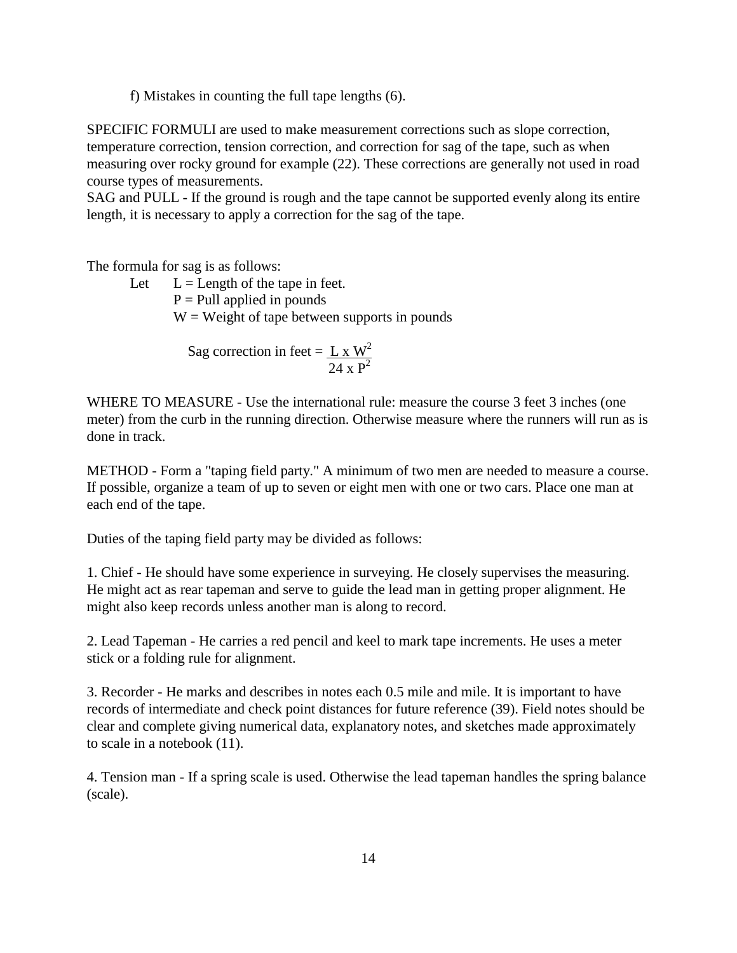f) Mistakes in counting the full tape lengths (6).

SPECIFIC FORMULI are used to make measurement corrections such as slope correction, temperature correction, tension correction, and correction for sag of the tape, such as when measuring over rocky ground for example (22). These corrections are generally not used in road course types of measurements.

SAG and PULL - If the ground is rough and the tape cannot be supported evenly along its entire length, it is necessary to apply a correction for the sag of the tape.

The formula for sag is as follows:

Let  $L =$  Length of the tape in feet.  $P =$  Pull applied in pounds  $W = Weight of tape between supports in pounds$ 

Sag correction in feet =  $\angle$  L x W<sup>2</sup>  $24 \times P^2$ 

WHERE TO MEASURE - Use the international rule: measure the course 3 feet 3 inches (one meter) from the curb in the running direction. Otherwise measure where the runners will run as is done in track.

METHOD - Form a "taping field party." A minimum of two men are needed to measure a course. If possible, organize a team of up to seven or eight men with one or two cars. Place one man at each end of the tape.

Duties of the taping field party may be divided as follows:

1. Chief - He should have some experience in surveying. He closely supervises the measuring. He might act as rear tapeman and serve to guide the lead man in getting proper alignment. He might also keep records unless another man is along to record.

2. Lead Tapeman - He carries a red pencil and keel to mark tape increments. He uses a meter stick or a folding rule for alignment.

3. Recorder - He marks and describes in notes each 0.5 mile and mile. It is important to have records of intermediate and check point distances for future reference (39). Field notes should be clear and complete giving numerical data, explanatory notes, and sketches made approximately to scale in a notebook (11).

4. Tension man - If a spring scale is used. Otherwise the lead tapeman handles the spring balance (scale).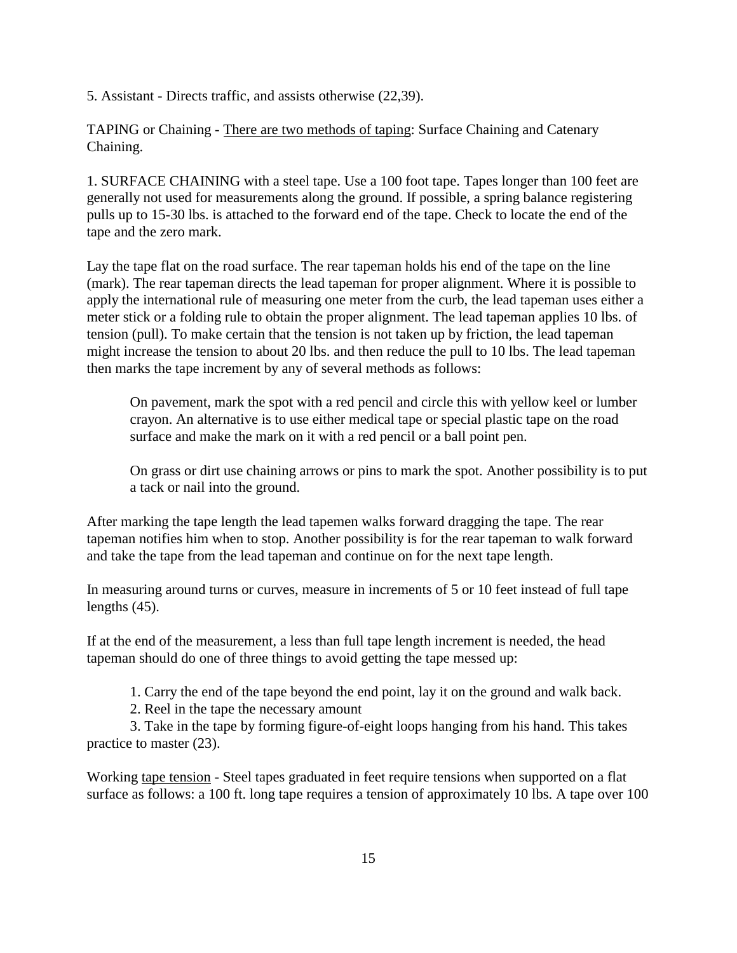5. Assistant - Directs traffic, and assists otherwise (22,39).

TAPING or Chaining - There are two methods of taping: Surface Chaining and Catenary Chaining.

1. SURFACE CHAINING with a steel tape. Use a 100 foot tape. Tapes longer than 100 feet are generally not used for measurements along the ground. If possible, a spring balance registering pulls up to 15-30 lbs. is attached to the forward end of the tape. Check to locate the end of the tape and the zero mark.

Lay the tape flat on the road surface. The rear tapeman holds his end of the tape on the line (mark). The rear tapeman directs the lead tapeman for proper alignment. Where it is possible to apply the international rule of measuring one meter from the curb, the lead tapeman uses either a meter stick or a folding rule to obtain the proper alignment. The lead tapeman applies 10 lbs. of tension (pull). To make certain that the tension is not taken up by friction, the lead tapeman might increase the tension to about 20 lbs. and then reduce the pull to 10 lbs. The lead tapeman then marks the tape increment by any of several methods as follows:

On pavement, mark the spot with a red pencil and circle this with yellow keel or lumber crayon. An alternative is to use either medical tape or special plastic tape on the road surface and make the mark on it with a red pencil or a ball point pen.

On grass or dirt use chaining arrows or pins to mark the spot. Another possibility is to put a tack or nail into the ground.

After marking the tape length the lead tapemen walks forward dragging the tape. The rear tapeman notifies him when to stop. Another possibility is for the rear tapeman to walk forward and take the tape from the lead tapeman and continue on for the next tape length.

In measuring around turns or curves, measure in increments of 5 or 10 feet instead of full tape lengths (45).

If at the end of the measurement, a less than full tape length increment is needed, the head tapeman should do one of three things to avoid getting the tape messed up:

1. Carry the end of the tape beyond the end point, lay it on the ground and walk back.

2. Reel in the tape the necessary amount

3. Take in the tape by forming figure-of-eight loops hanging from his hand. This takes practice to master (23).

Working tape tension - Steel tapes graduated in feet require tensions when supported on a flat surface as follows: a 100 ft. long tape requires a tension of approximately 10 lbs. A tape over 100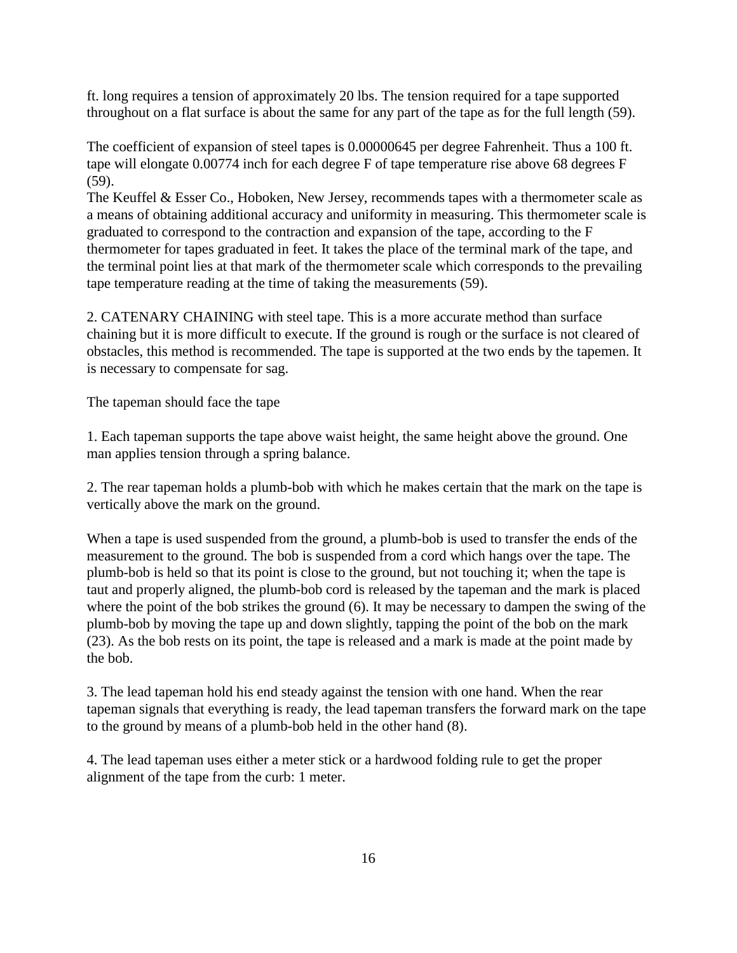ft. long requires a tension of approximately 20 lbs. The tension required for a tape supported throughout on a flat surface is about the same for any part of the tape as for the full length (59).

The coefficient of expansion of steel tapes is 0.00000645 per degree Fahrenheit. Thus a 100 ft. tape will elongate 0.00774 inch for each degree F of tape temperature rise above 68 degrees F (59).

The Keuffel & Esser Co., Hoboken, New Jersey, recommends tapes with a thermometer scale as a means of obtaining additional accuracy and uniformity in measuring. This thermometer scale is graduated to correspond to the contraction and expansion of the tape, according to the F thermometer for tapes graduated in feet. It takes the place of the terminal mark of the tape, and the terminal point lies at that mark of the thermometer scale which corresponds to the prevailing tape temperature reading at the time of taking the measurements (59).

2. CATENARY CHAINING with steel tape. This is a more accurate method than surface chaining but it is more difficult to execute. If the ground is rough or the surface is not cleared of obstacles, this method is recommended. The tape is supported at the two ends by the tapemen. It is necessary to compensate for sag.

The tapeman should face the tape

1. Each tapeman supports the tape above waist height, the same height above the ground. One man applies tension through a spring balance.

2. The rear tapeman holds a plumb-bob with which he makes certain that the mark on the tape is vertically above the mark on the ground.

When a tape is used suspended from the ground, a plumb-bob is used to transfer the ends of the measurement to the ground. The bob is suspended from a cord which hangs over the tape. The plumb-bob is held so that its point is close to the ground, but not touching it; when the tape is taut and properly aligned, the plumb-bob cord is released by the tapeman and the mark is placed where the point of the bob strikes the ground (6). It may be necessary to dampen the swing of the plumb-bob by moving the tape up and down slightly, tapping the point of the bob on the mark (23). As the bob rests on its point, the tape is released and a mark is made at the point made by the bob.

3. The lead tapeman hold his end steady against the tension with one hand. When the rear tapeman signals that everything is ready, the lead tapeman transfers the forward mark on the tape to the ground by means of a plumb-bob held in the other hand (8).

4. The lead tapeman uses either a meter stick or a hardwood folding rule to get the proper alignment of the tape from the curb: 1 meter.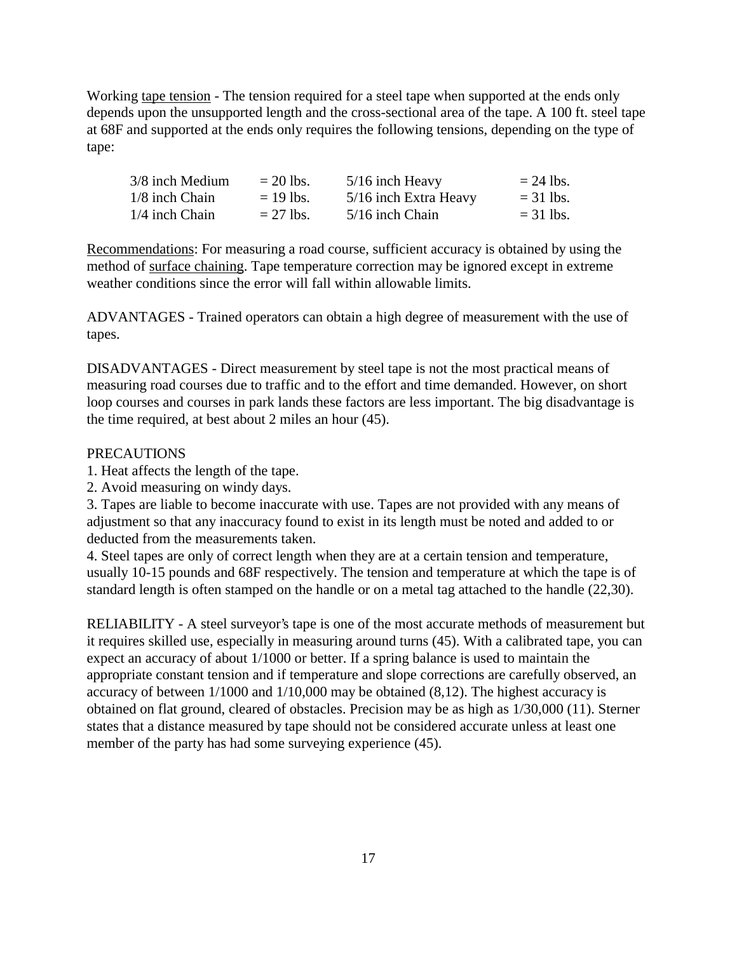Working tape tension - The tension required for a steel tape when supported at the ends only depends upon the unsupported length and the cross-sectional area of the tape. A 100 ft. steel tape at 68F and supported at the ends only requires the following tensions, depending on the type of tape:

| 3/8 inch Medium  | $= 20$ lbs. | 5/16 inch Heavy       | $= 24$ lbs. |
|------------------|-------------|-----------------------|-------------|
| $1/8$ inch Chain | $= 19$ lbs. | 5/16 inch Extra Heavy | $=$ 31 lbs. |
| $1/4$ inch Chain | $= 27$ lbs. | 5/16 inch Chain       | $=$ 31 lbs. |

Recommendations: For measuring a road course, sufficient accuracy is obtained by using the method of surface chaining. Tape temperature correction may be ignored except in extreme weather conditions since the error will fall within allowable limits.

ADVANTAGES - Trained operators can obtain a high degree of measurement with the use of tapes.

DISADVANTAGES - Direct measurement by steel tape is not the most practical means of measuring road courses due to traffic and to the effort and time demanded. However, on short loop courses and courses in park lands these factors are less important. The big disadvantage is the time required, at best about 2 miles an hour (45).

## PRECAUTIONS

- 1. Heat affects the length of the tape.
- 2. Avoid measuring on windy days.

3. Tapes are liable to become inaccurate with use. Tapes are not provided with any means of adjustment so that any inaccuracy found to exist in its length must be noted and added to or deducted from the measurements taken.

4. Steel tapes are only of correct length when they are at a certain tension and temperature, usually 10-15 pounds and 68F respectively. The tension and temperature at which the tape is of standard length is often stamped on the handle or on a metal tag attached to the handle (22,30).

RELIABILITY - A steel surveyor's tape is one of the most accurate methods of measurement but it requires skilled use, especially in measuring around turns (45). With a calibrated tape, you can expect an accuracy of about 1/1000 or better. If a spring balance is used to maintain the appropriate constant tension and if temperature and slope corrections are carefully observed, an accuracy of between 1/1000 and 1/10,000 may be obtained (8,12). The highest accuracy is obtained on flat ground, cleared of obstacles. Precision may be as high as 1/30,000 (11). Sterner states that a distance measured by tape should not be considered accurate unless at least one member of the party has had some surveying experience (45).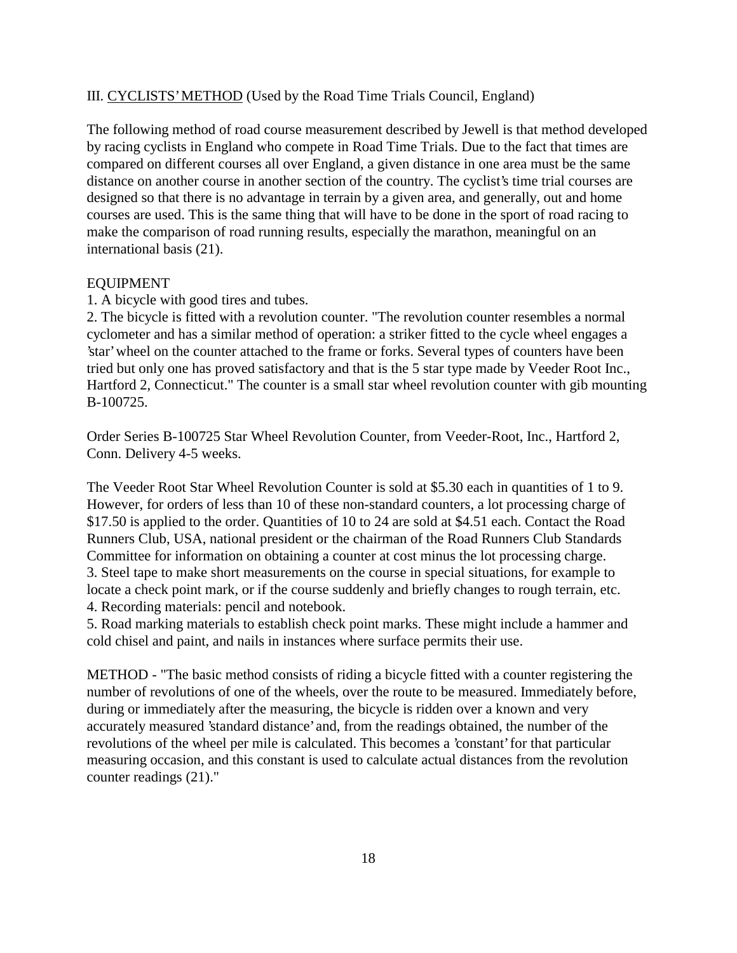### III. CYCLISTS' METHOD (Used by the Road Time Trials Council, England)

The following method of road course measurement described by Jewell is that method developed by racing cyclists in England who compete in Road Time Trials. Due to the fact that times are compared on different courses all over England, a given distance in one area must be the same distance on another course in another section of the country. The cyclist's time trial courses are designed so that there is no advantage in terrain by a given area, and generally, out and home courses are used. This is the same thing that will have to be done in the sport of road racing to make the comparison of road running results, especially the marathon, meaningful on an international basis (21).

#### EQUIPMENT

1. A bicycle with good tires and tubes.

2. The bicycle is fitted with a revolution counter. "The revolution counter resembles a normal cyclometer and has a similar method of operation: a striker fitted to the cycle wheel engages a 'star' wheel on the counter attached to the frame or forks. Several types of counters have been tried but only one has proved satisfactory and that is the 5 star type made by Veeder Root Inc., Hartford 2, Connecticut." The counter is a small star wheel revolution counter with gib mounting B-100725.

Order Series B-100725 Star Wheel Revolution Counter, from Veeder-Root, Inc., Hartford 2, Conn. Delivery 4-5 weeks.

The Veeder Root Star Wheel Revolution Counter is sold at \$5.30 each in quantities of 1 to 9. However, for orders of less than 10 of these non-standard counters, a lot processing charge of \$17.50 is applied to the order. Quantities of 10 to 24 are sold at \$4.51 each. Contact the Road Runners Club, USA, national president or the chairman of the Road Runners Club Standards Committee for information on obtaining a counter at cost minus the lot processing charge. 3. Steel tape to make short measurements on the course in special situations, for example to locate a check point mark, or if the course suddenly and briefly changes to rough terrain, etc. 4. Recording materials: pencil and notebook.

5. Road marking materials to establish check point marks. These might include a hammer and cold chisel and paint, and nails in instances where surface permits their use.

METHOD - "The basic method consists of riding a bicycle fitted with a counter registering the number of revolutions of one of the wheels, over the route to be measured. Immediately before, during or immediately after the measuring, the bicycle is ridden over a known and very accurately measured 'standard distance' and, from the readings obtained, the number of the revolutions of the wheel per mile is calculated. This becomes a 'constant' for that particular measuring occasion, and this constant is used to calculate actual distances from the revolution counter readings (21)."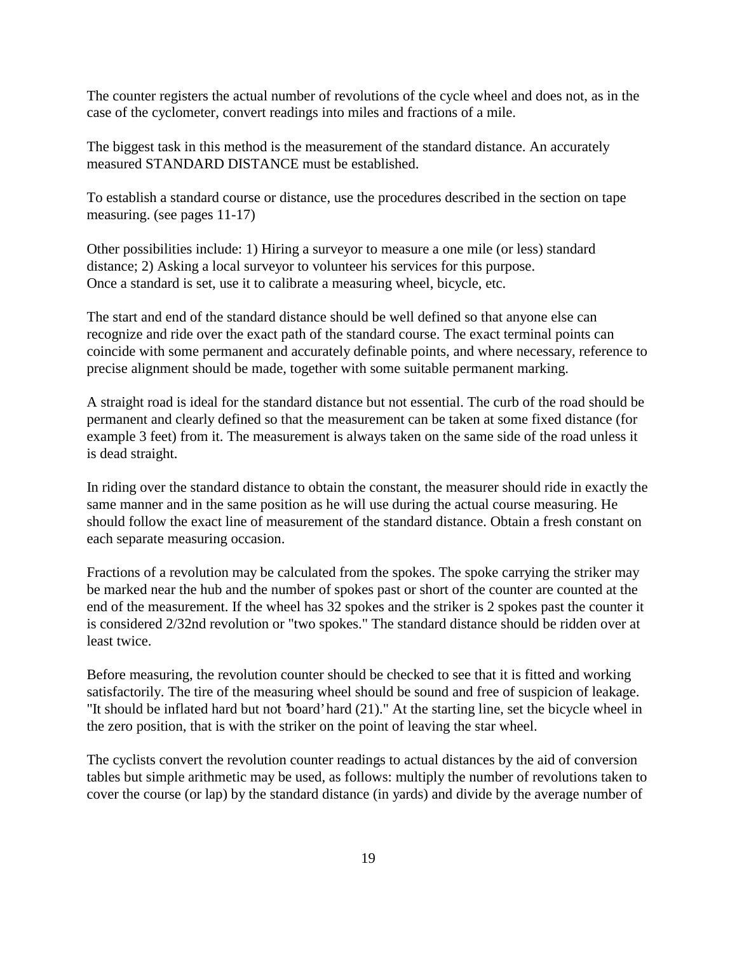The counter registers the actual number of revolutions of the cycle wheel and does not, as in the case of the cyclometer, convert readings into miles and fractions of a mile.

The biggest task in this method is the measurement of the standard distance. An accurately measured STANDARD DISTANCE must be established.

To establish a standard course or distance, use the procedures described in the section on tape measuring. (see pages 11-17)

Other possibilities include: 1) Hiring a surveyor to measure a one mile (or less) standard distance; 2) Asking a local surveyor to volunteer his services for this purpose. Once a standard is set, use it to calibrate a measuring wheel, bicycle, etc.

The start and end of the standard distance should be well defined so that anyone else can recognize and ride over the exact path of the standard course. The exact terminal points can coincide with some permanent and accurately definable points, and where necessary, reference to precise alignment should be made, together with some suitable permanent marking.

A straight road is ideal for the standard distance but not essential. The curb of the road should be permanent and clearly defined so that the measurement can be taken at some fixed distance (for example 3 feet) from it. The measurement is always taken on the same side of the road unless it is dead straight.

In riding over the standard distance to obtain the constant, the measurer should ride in exactly the same manner and in the same position as he will use during the actual course measuring. He should follow the exact line of measurement of the standard distance. Obtain a fresh constant on each separate measuring occasion.

Fractions of a revolution may be calculated from the spokes. The spoke carrying the striker may be marked near the hub and the number of spokes past or short of the counter are counted at the end of the measurement. If the wheel has 32 spokes and the striker is 2 spokes past the counter it is considered 2/32nd revolution or "two spokes." The standard distance should be ridden over at least twice.

Before measuring, the revolution counter should be checked to see that it is fitted and working satisfactorily. The tire of the measuring wheel should be sound and free of suspicion of leakage. "It should be inflated hard but not 'board' hard (21)." At the starting line, set the bicycle wheel in the zero position, that is with the striker on the point of leaving the star wheel.

The cyclists convert the revolution counter readings to actual distances by the aid of conversion tables but simple arithmetic may be used, as follows: multiply the number of revolutions taken to cover the course (or lap) by the standard distance (in yards) and divide by the average number of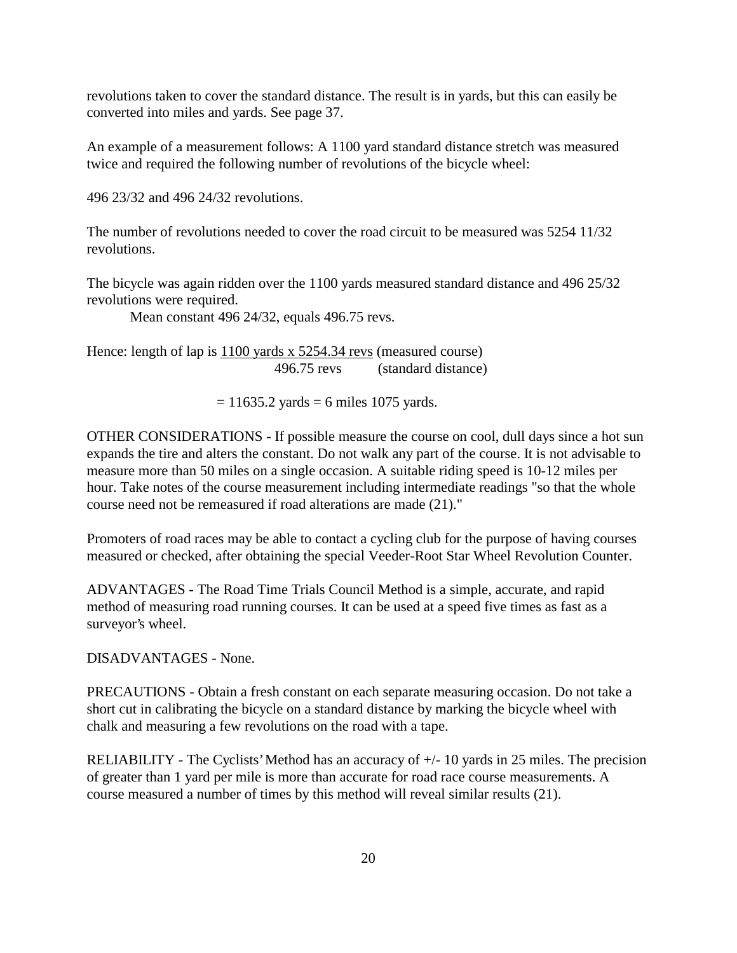revolutions taken to cover the standard distance. The result is in yards, but this can easily be converted into miles and yards. See page 37.

An example of a measurement follows: A 1100 yard standard distance stretch was measured twice and required the following number of revolutions of the bicycle wheel:

496 23/32 and 496 24/32 revolutions.

The number of revolutions needed to cover the road circuit to be measured was 5254 11/32 revolutions.

The bicycle was again ridden over the 1100 yards measured standard distance and 496 25/32 revolutions were required.

Mean constant 496 24/32, equals 496.75 revs.

Hence: length of lap is 1100 yards x 5254.34 revs (measured course) 496.75 revs (standard distance)

 $= 11635.2$  yards  $= 6$  miles 1075 yards.

OTHER CONSIDERATIONS - If possible measure the course on cool, dull days since a hot sun expands the tire and alters the constant. Do not walk any part of the course. It is not advisable to measure more than 50 miles on a single occasion. A suitable riding speed is 10-12 miles per hour. Take notes of the course measurement including intermediate readings "so that the whole course need not be remeasured if road alterations are made (21)."

Promoters of road races may be able to contact a cycling club for the purpose of having courses measured or checked, after obtaining the special Veeder-Root Star Wheel Revolution Counter.

ADVANTAGES - The Road Time Trials Council Method is a simple, accurate, and rapid method of measuring road running courses. It can be used at a speed five times as fast as a surveyor's wheel.

DISADVANTAGES - None.

PRECAUTIONS - Obtain a fresh constant on each separate measuring occasion. Do not take a short cut in calibrating the bicycle on a standard distance by marking the bicycle wheel with chalk and measuring a few revolutions on the road with a tape.

RELIABILITY - The Cyclists' Method has an accuracy of +/- 10 yards in 25 miles. The precision of greater than 1 yard per mile is more than accurate for road race course measurements. A course measured a number of times by this method will reveal similar results (21).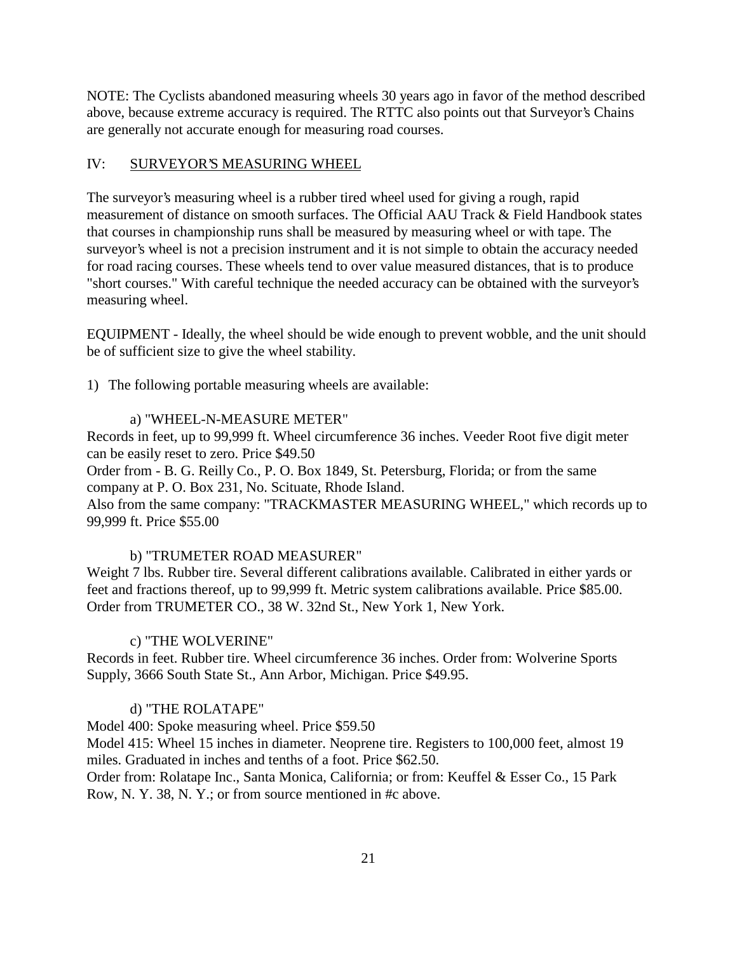NOTE: The Cyclists abandoned measuring wheels 30 years ago in favor of the method described above, because extreme accuracy is required. The RTTC also points out that Surveyor's Chains are generally not accurate enough for measuring road courses.

### IV: SURVEYOR'S MEASURING WHEEL

The surveyor's measuring wheel is a rubber tired wheel used for giving a rough, rapid measurement of distance on smooth surfaces. The Official AAU Track & Field Handbook states that courses in championship runs shall be measured by measuring wheel or with tape. The surveyor's wheel is not a precision instrument and it is not simple to obtain the accuracy needed for road racing courses. These wheels tend to over value measured distances, that is to produce "short courses." With careful technique the needed accuracy can be obtained with the surveyor's measuring wheel.

EQUIPMENT - Ideally, the wheel should be wide enough to prevent wobble, and the unit should be of sufficient size to give the wheel stability.

1) The following portable measuring wheels are available:

### a) "WHEEL-N-MEASURE METER"

Records in feet, up to 99,999 ft. Wheel circumference 36 inches. Veeder Root five digit meter can be easily reset to zero. Price \$49.50

Order from - B. G. Reilly Co., P. O. Box 1849, St. Petersburg, Florida; or from the same company at P. O. Box 231, No. Scituate, Rhode Island.

Also from the same company: "TRACKMASTER MEASURING WHEEL," which records up to 99,999 ft. Price \$55.00

## b) "TRUMETER ROAD MEASURER"

Weight 7 lbs. Rubber tire. Several different calibrations available. Calibrated in either yards or feet and fractions thereof, up to 99,999 ft. Metric system calibrations available. Price \$85.00. Order from TRUMETER CO., 38 W. 32nd St., New York 1, New York.

### c) "THE WOLVERINE"

Records in feet. Rubber tire. Wheel circumference 36 inches. Order from: Wolverine Sports Supply, 3666 South State St., Ann Arbor, Michigan. Price \$49.95.

## d) "THE ROLATAPE"

Model 400: Spoke measuring wheel. Price \$59.50

Model 415: Wheel 15 inches in diameter. Neoprene tire. Registers to 100,000 feet, almost 19 miles. Graduated in inches and tenths of a foot. Price \$62.50.

Order from: Rolatape Inc., Santa Monica, California; or from: Keuffel & Esser Co., 15 Park Row, N. Y. 38, N. Y.; or from source mentioned in #c above.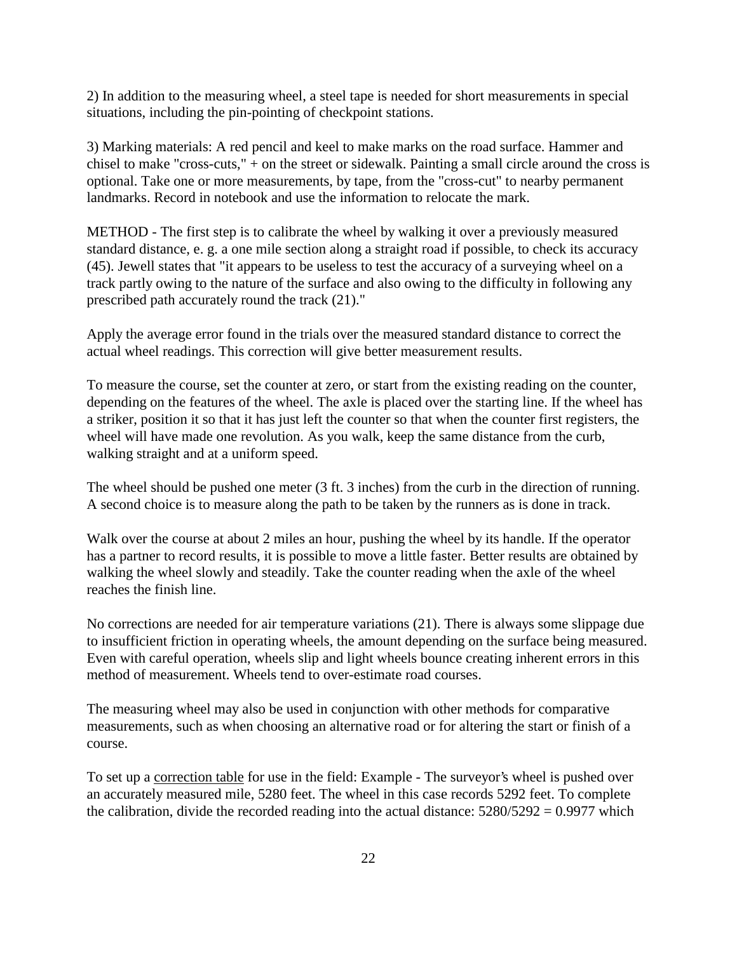2) In addition to the measuring wheel, a steel tape is needed for short measurements in special situations, including the pin-pointing of checkpoint stations.

3) Marking materials: A red pencil and keel to make marks on the road surface. Hammer and chisel to make "cross-cuts," + on the street or sidewalk. Painting a small circle around the cross is optional. Take one or more measurements, by tape, from the "cross-cut" to nearby permanent landmarks. Record in notebook and use the information to relocate the mark.

METHOD - The first step is to calibrate the wheel by walking it over a previously measured standard distance, e. g. a one mile section along a straight road if possible, to check its accuracy (45). Jewell states that "it appears to be useless to test the accuracy of a surveying wheel on a track partly owing to the nature of the surface and also owing to the difficulty in following any prescribed path accurately round the track (21)."

Apply the average error found in the trials over the measured standard distance to correct the actual wheel readings. This correction will give better measurement results.

To measure the course, set the counter at zero, or start from the existing reading on the counter, depending on the features of the wheel. The axle is placed over the starting line. If the wheel has a striker, position it so that it has just left the counter so that when the counter first registers, the wheel will have made one revolution. As you walk, keep the same distance from the curb, walking straight and at a uniform speed.

The wheel should be pushed one meter (3 ft. 3 inches) from the curb in the direction of running. A second choice is to measure along the path to be taken by the runners as is done in track.

Walk over the course at about 2 miles an hour, pushing the wheel by its handle. If the operator has a partner to record results, it is possible to move a little faster. Better results are obtained by walking the wheel slowly and steadily. Take the counter reading when the axle of the wheel reaches the finish line.

No corrections are needed for air temperature variations (21). There is always some slippage due to insufficient friction in operating wheels, the amount depending on the surface being measured. Even with careful operation, wheels slip and light wheels bounce creating inherent errors in this method of measurement. Wheels tend to over-estimate road courses.

The measuring wheel may also be used in conjunction with other methods for comparative measurements, such as when choosing an alternative road or for altering the start or finish of a course.

To set up a correction table for use in the field: Example - The surveyor's wheel is pushed over an accurately measured mile, 5280 feet. The wheel in this case records 5292 feet. To complete the calibration, divide the recorded reading into the actual distance:  $5280/5292 = 0.9977$  which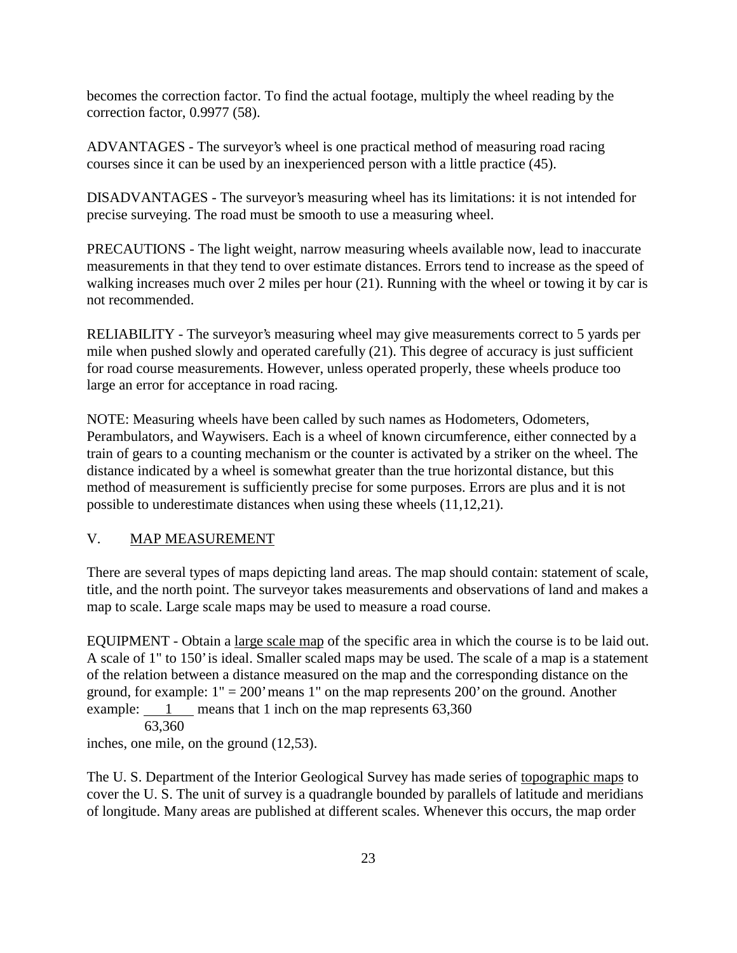becomes the correction factor. To find the actual footage, multiply the wheel reading by the correction factor, 0.9977 (58).

ADVANTAGES - The surveyor's wheel is one practical method of measuring road racing courses since it can be used by an inexperienced person with a little practice (45).

DISADVANTAGES - The surveyor's measuring wheel has its limitations: it is not intended for precise surveying. The road must be smooth to use a measuring wheel.

PRECAUTIONS - The light weight, narrow measuring wheels available now, lead to inaccurate measurements in that they tend to over estimate distances. Errors tend to increase as the speed of walking increases much over 2 miles per hour (21). Running with the wheel or towing it by car is not recommended.

RELIABILITY - The surveyor's measuring wheel may give measurements correct to 5 yards per mile when pushed slowly and operated carefully (21). This degree of accuracy is just sufficient for road course measurements. However, unless operated properly, these wheels produce too large an error for acceptance in road racing.

NOTE: Measuring wheels have been called by such names as Hodometers, Odometers, Perambulators, and Waywisers. Each is a wheel of known circumference, either connected by a train of gears to a counting mechanism or the counter is activated by a striker on the wheel. The distance indicated by a wheel is somewhat greater than the true horizontal distance, but this method of measurement is sufficiently precise for some purposes. Errors are plus and it is not possible to underestimate distances when using these wheels (11,12,21).

# V. MAP MEASUREMENT

There are several types of maps depicting land areas. The map should contain: statement of scale, title, and the north point. The surveyor takes measurements and observations of land and makes a map to scale. Large scale maps may be used to measure a road course.

EQUIPMENT - Obtain a large scale map of the specific area in which the course is to be laid out. A scale of 1" to 150' is ideal. Smaller scaled maps may be used. The scale of a map is a statement of the relation between a distance measured on the map and the corresponding distance on the ground, for example: 1" = 200' means 1" on the map represents 200' on the ground. Another example: 1 means that 1 inch on the map represents 63,360

63,360

inches, one mile, on the ground (12,53).

The U. S. Department of the Interior Geological Survey has made series of topographic maps to cover the U. S. The unit of survey is a quadrangle bounded by parallels of latitude and meridians of longitude. Many areas are published at different scales. Whenever this occurs, the map order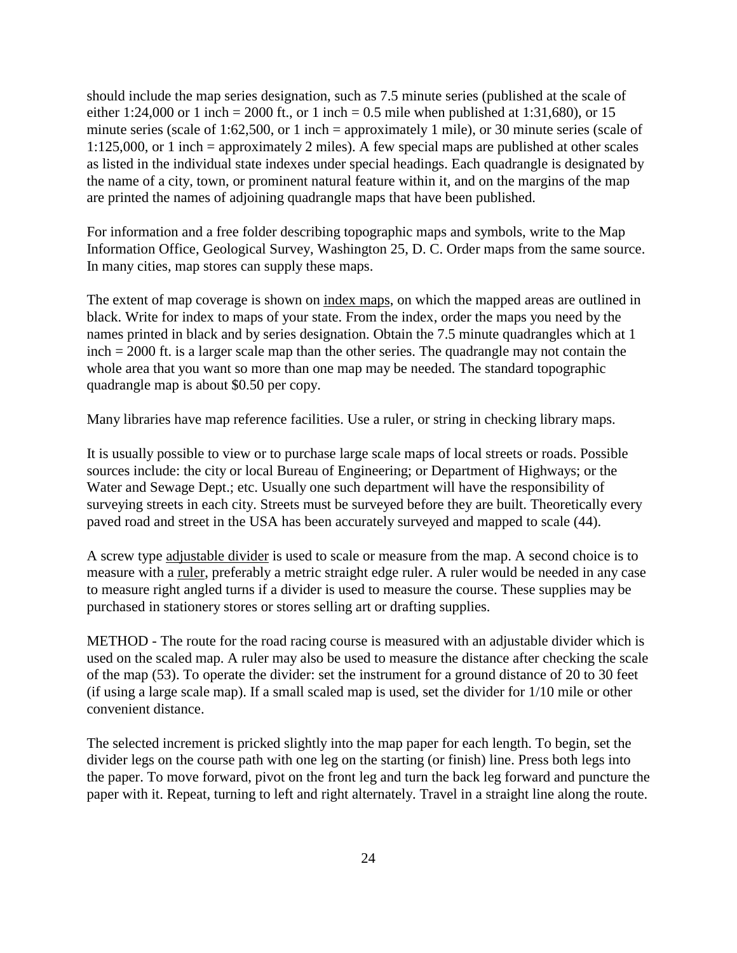should include the map series designation, such as 7.5 minute series (published at the scale of either 1:24,000 or 1 inch = 2000 ft., or 1 inch = 0.5 mile when published at 1:31,680), or 15 minute series (scale of 1:62,500, or 1 inch = approximately 1 mile), or 30 minute series (scale of 1:125,000, or 1 inch = approximately 2 miles). A few special maps are published at other scales as listed in the individual state indexes under special headings. Each quadrangle is designated by the name of a city, town, or prominent natural feature within it, and on the margins of the map are printed the names of adjoining quadrangle maps that have been published.

For information and a free folder describing topographic maps and symbols, write to the Map Information Office, Geological Survey, Washington 25, D. C. Order maps from the same source. In many cities, map stores can supply these maps.

The extent of map coverage is shown on index maps, on which the mapped areas are outlined in black. Write for index to maps of your state. From the index, order the maps you need by the names printed in black and by series designation. Obtain the 7.5 minute quadrangles which at 1 inch = 2000 ft. is a larger scale map than the other series. The quadrangle may not contain the whole area that you want so more than one map may be needed. The standard topographic quadrangle map is about \$0.50 per copy.

Many libraries have map reference facilities. Use a ruler, or string in checking library maps.

It is usually possible to view or to purchase large scale maps of local streets or roads. Possible sources include: the city or local Bureau of Engineering; or Department of Highways; or the Water and Sewage Dept.; etc. Usually one such department will have the responsibility of surveying streets in each city. Streets must be surveyed before they are built. Theoretically every paved road and street in the USA has been accurately surveyed and mapped to scale (44).

A screw type adjustable divider is used to scale or measure from the map. A second choice is to measure with a ruler, preferably a metric straight edge ruler. A ruler would be needed in any case to measure right angled turns if a divider is used to measure the course. These supplies may be purchased in stationery stores or stores selling art or drafting supplies.

METHOD - The route for the road racing course is measured with an adjustable divider which is used on the scaled map. A ruler may also be used to measure the distance after checking the scale of the map (53). To operate the divider: set the instrument for a ground distance of 20 to 30 feet (if using a large scale map). If a small scaled map is used, set the divider for 1/10 mile or other convenient distance.

The selected increment is pricked slightly into the map paper for each length. To begin, set the divider legs on the course path with one leg on the starting (or finish) line. Press both legs into the paper. To move forward, pivot on the front leg and turn the back leg forward and puncture the paper with it. Repeat, turning to left and right alternately. Travel in a straight line along the route.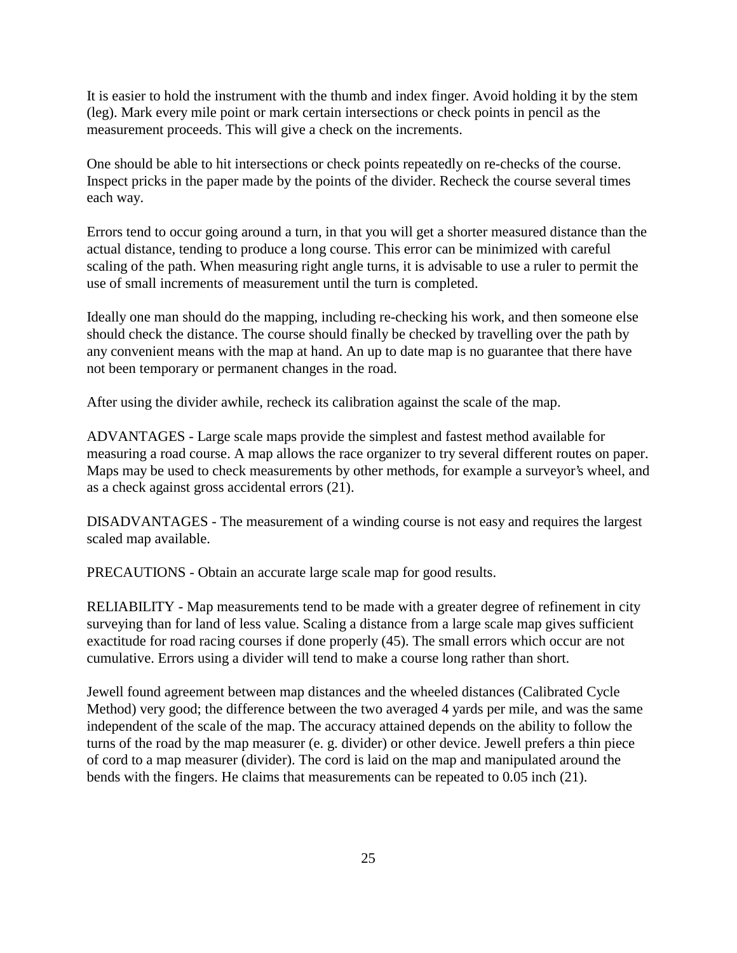It is easier to hold the instrument with the thumb and index finger. Avoid holding it by the stem (leg). Mark every mile point or mark certain intersections or check points in pencil as the measurement proceeds. This will give a check on the increments.

One should be able to hit intersections or check points repeatedly on re-checks of the course. Inspect pricks in the paper made by the points of the divider. Recheck the course several times each way.

Errors tend to occur going around a turn, in that you will get a shorter measured distance than the actual distance, tending to produce a long course. This error can be minimized with careful scaling of the path. When measuring right angle turns, it is advisable to use a ruler to permit the use of small increments of measurement until the turn is completed.

Ideally one man should do the mapping, including re-checking his work, and then someone else should check the distance. The course should finally be checked by travelling over the path by any convenient means with the map at hand. An up to date map is no guarantee that there have not been temporary or permanent changes in the road.

After using the divider awhile, recheck its calibration against the scale of the map.

ADVANTAGES - Large scale maps provide the simplest and fastest method available for measuring a road course. A map allows the race organizer to try several different routes on paper. Maps may be used to check measurements by other methods, for example a surveyor's wheel, and as a check against gross accidental errors (21).

DISADVANTAGES - The measurement of a winding course is not easy and requires the largest scaled map available.

PRECAUTIONS - Obtain an accurate large scale map for good results.

RELIABILITY - Map measurements tend to be made with a greater degree of refinement in city surveying than for land of less value. Scaling a distance from a large scale map gives sufficient exactitude for road racing courses if done properly (45). The small errors which occur are not cumulative. Errors using a divider will tend to make a course long rather than short.

Jewell found agreement between map distances and the wheeled distances (Calibrated Cycle Method) very good; the difference between the two averaged 4 yards per mile, and was the same independent of the scale of the map. The accuracy attained depends on the ability to follow the turns of the road by the map measurer (e. g. divider) or other device. Jewell prefers a thin piece of cord to a map measurer (divider). The cord is laid on the map and manipulated around the bends with the fingers. He claims that measurements can be repeated to 0.05 inch (21).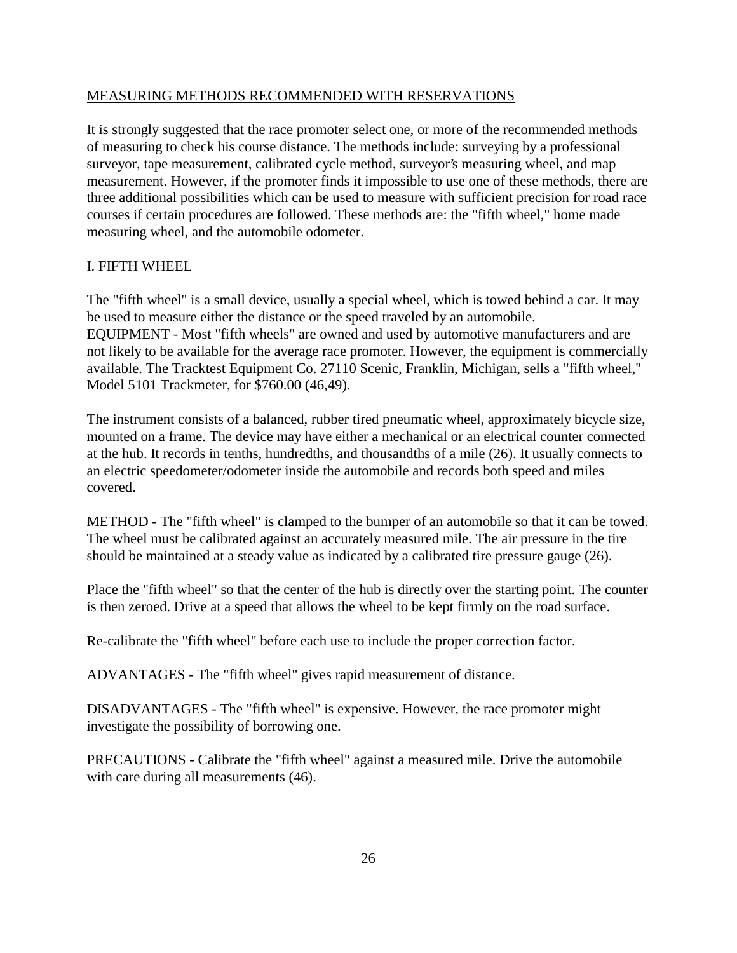## MEASURING METHODS RECOMMENDED WITH RESERVATIONS

It is strongly suggested that the race promoter select one, or more of the recommended methods of measuring to check his course distance. The methods include: surveying by a professional surveyor, tape measurement, calibrated cycle method, surveyor's measuring wheel, and map measurement. However, if the promoter finds it impossible to use one of these methods, there are three additional possibilities which can be used to measure with sufficient precision for road race courses if certain procedures are followed. These methods are: the "fifth wheel," home made measuring wheel, and the automobile odometer.

## I. FIFTH WHEEL

The "fifth wheel" is a small device, usually a special wheel, which is towed behind a car. It may be used to measure either the distance or the speed traveled by an automobile. EQUIPMENT - Most "fifth wheels" are owned and used by automotive manufacturers and are not likely to be available for the average race promoter. However, the equipment is commercially available. The Tracktest Equipment Co. 27110 Scenic, Franklin, Michigan, sells a "fifth wheel," Model 5101 Trackmeter, for \$760.00 (46,49).

The instrument consists of a balanced, rubber tired pneumatic wheel, approximately bicycle size, mounted on a frame. The device may have either a mechanical or an electrical counter connected at the hub. It records in tenths, hundredths, and thousandths of a mile (26). It usually connects to an electric speedometer/odometer inside the automobile and records both speed and miles covered.

METHOD - The "fifth wheel" is clamped to the bumper of an automobile so that it can be towed. The wheel must be calibrated against an accurately measured mile. The air pressure in the tire should be maintained at a steady value as indicated by a calibrated tire pressure gauge (26).

Place the "fifth wheel" so that the center of the hub is directly over the starting point. The counter is then zeroed. Drive at a speed that allows the wheel to be kept firmly on the road surface.

Re-calibrate the "fifth wheel" before each use to include the proper correction factor.

ADVANTAGES - The "fifth wheel" gives rapid measurement of distance.

DISADVANTAGES - The "fifth wheel" is expensive. However, the race promoter might investigate the possibility of borrowing one.

PRECAUTIONS - Calibrate the "fifth wheel" against a measured mile. Drive the automobile with care during all measurements  $(46)$ .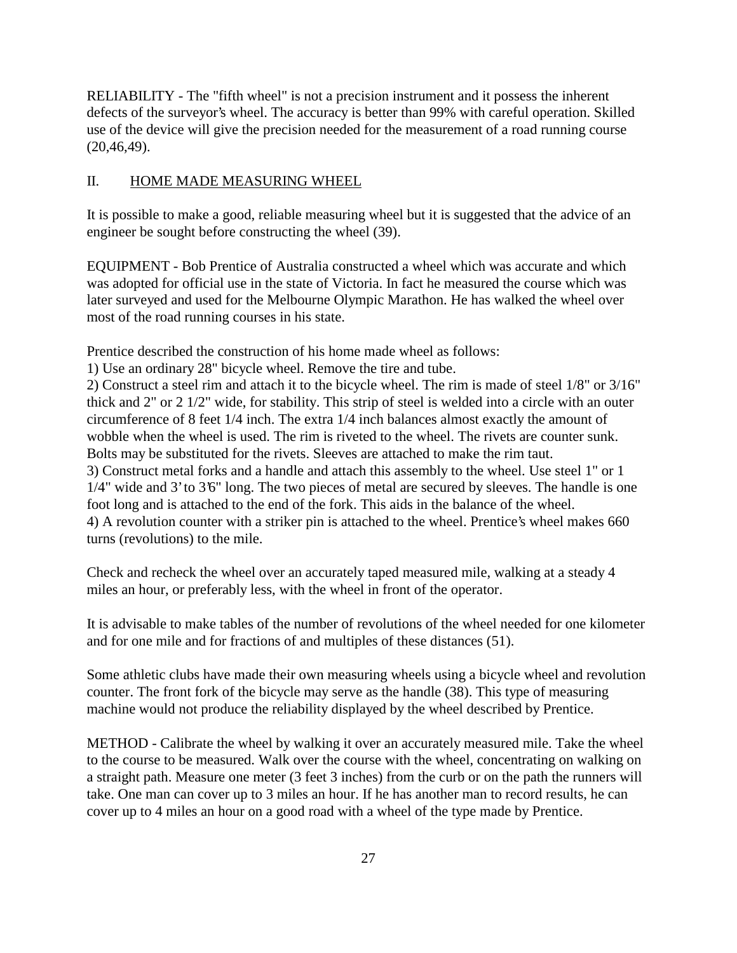RELIABILITY - The "fifth wheel" is not a precision instrument and it possess the inherent defects of the surveyor's wheel. The accuracy is better than 99% with careful operation. Skilled use of the device will give the precision needed for the measurement of a road running course (20,46,49).

## II. HOME MADE MEASURING WHEEL

It is possible to make a good, reliable measuring wheel but it is suggested that the advice of an engineer be sought before constructing the wheel (39).

EQUIPMENT - Bob Prentice of Australia constructed a wheel which was accurate and which was adopted for official use in the state of Victoria. In fact he measured the course which was later surveyed and used for the Melbourne Olympic Marathon. He has walked the wheel over most of the road running courses in his state.

Prentice described the construction of his home made wheel as follows:

1) Use an ordinary 28" bicycle wheel. Remove the tire and tube.

2) Construct a steel rim and attach it to the bicycle wheel. The rim is made of steel 1/8" or 3/16" thick and 2" or 2 1/2" wide, for stability. This strip of steel is welded into a circle with an outer circumference of 8 feet 1/4 inch. The extra 1/4 inch balances almost exactly the amount of wobble when the wheel is used. The rim is riveted to the wheel. The rivets are counter sunk. Bolts may be substituted for the rivets. Sleeves are attached to make the rim taut. 3) Construct metal forks and a handle and attach this assembly to the wheel. Use steel 1" or 1 1/4" wide and 3' to 3'6" long. The two pieces of metal are secured by sleeves. The handle is one foot long and is attached to the end of the fork. This aids in the balance of the wheel. 4) A revolution counter with a striker pin is attached to the wheel. Prentice's wheel makes 660 turns (revolutions) to the mile.

Check and recheck the wheel over an accurately taped measured mile, walking at a steady 4 miles an hour, or preferably less, with the wheel in front of the operator.

It is advisable to make tables of the number of revolutions of the wheel needed for one kilometer and for one mile and for fractions of and multiples of these distances (51).

Some athletic clubs have made their own measuring wheels using a bicycle wheel and revolution counter. The front fork of the bicycle may serve as the handle (38). This type of measuring machine would not produce the reliability displayed by the wheel described by Prentice.

METHOD - Calibrate the wheel by walking it over an accurately measured mile. Take the wheel to the course to be measured. Walk over the course with the wheel, concentrating on walking on a straight path. Measure one meter (3 feet 3 inches) from the curb or on the path the runners will take. One man can cover up to 3 miles an hour. If he has another man to record results, he can cover up to 4 miles an hour on a good road with a wheel of the type made by Prentice.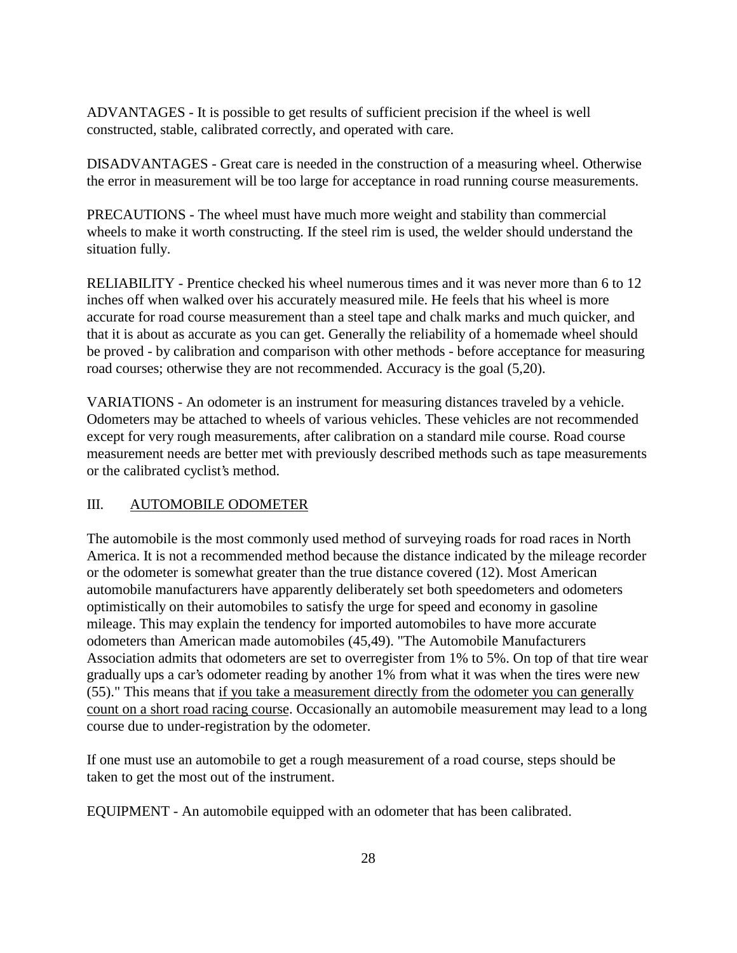ADVANTAGES - It is possible to get results of sufficient precision if the wheel is well constructed, stable, calibrated correctly, and operated with care.

DISADVANTAGES - Great care is needed in the construction of a measuring wheel. Otherwise the error in measurement will be too large for acceptance in road running course measurements.

PRECAUTIONS - The wheel must have much more weight and stability than commercial wheels to make it worth constructing. If the steel rim is used, the welder should understand the situation fully.

RELIABILITY - Prentice checked his wheel numerous times and it was never more than 6 to 12 inches off when walked over his accurately measured mile. He feels that his wheel is more accurate for road course measurement than a steel tape and chalk marks and much quicker, and that it is about as accurate as you can get. Generally the reliability of a homemade wheel should be proved - by calibration and comparison with other methods - before acceptance for measuring road courses; otherwise they are not recommended. Accuracy is the goal  $(5,20)$ .

VARIATIONS - An odometer is an instrument for measuring distances traveled by a vehicle. Odometers may be attached to wheels of various vehicles. These vehicles are not recommended except for very rough measurements, after calibration on a standard mile course. Road course measurement needs are better met with previously described methods such as tape measurements or the calibrated cyclist's method.

# III. AUTOMOBILE ODOMETER

The automobile is the most commonly used method of surveying roads for road races in North America. It is not a recommended method because the distance indicated by the mileage recorder or the odometer is somewhat greater than the true distance covered (12). Most American automobile manufacturers have apparently deliberately set both speedometers and odometers optimistically on their automobiles to satisfy the urge for speed and economy in gasoline mileage. This may explain the tendency for imported automobiles to have more accurate odometers than American made automobiles (45,49). "The Automobile Manufacturers Association admits that odometers are set to overregister from 1% to 5%. On top of that tire wear gradually ups a car's odometer reading by another 1% from what it was when the tires were new (55)." This means that if you take a measurement directly from the odometer you can generally count on a short road racing course. Occasionally an automobile measurement may lead to a long course due to under-registration by the odometer.

If one must use an automobile to get a rough measurement of a road course, steps should be taken to get the most out of the instrument.

EQUIPMENT - An automobile equipped with an odometer that has been calibrated.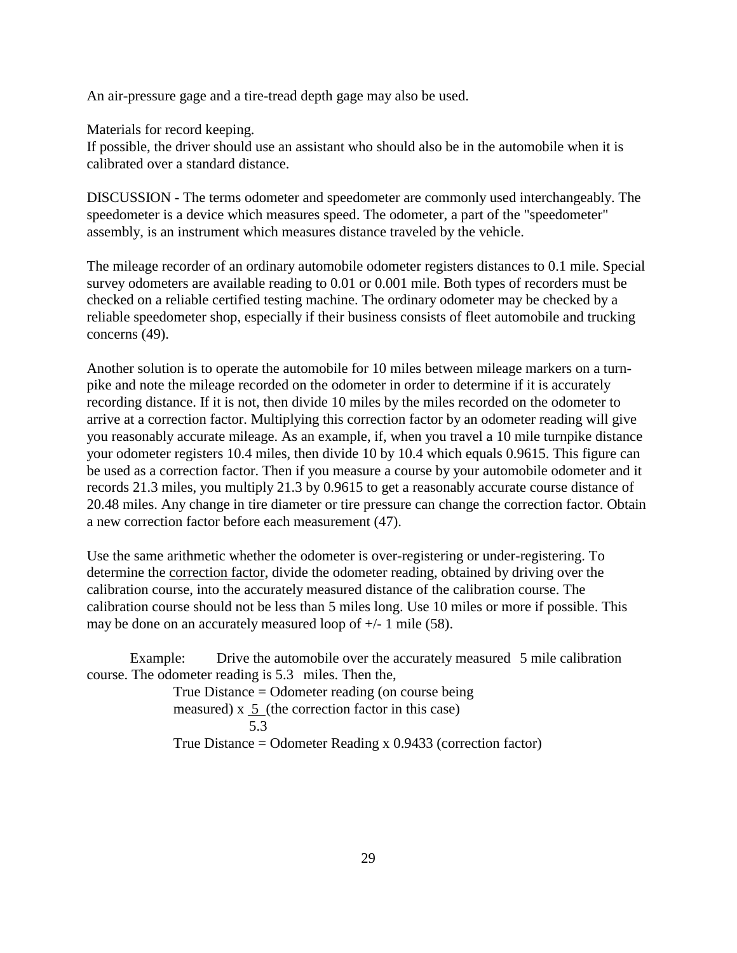An air-pressure gage and a tire-tread depth gage may also be used.

Materials for record keeping.

If possible, the driver should use an assistant who should also be in the automobile when it is calibrated over a standard distance.

DISCUSSION - The terms odometer and speedometer are commonly used interchangeably. The speedometer is a device which measures speed. The odometer, a part of the "speedometer" assembly, is an instrument which measures distance traveled by the vehicle.

The mileage recorder of an ordinary automobile odometer registers distances to 0.1 mile. Special survey odometers are available reading to 0.01 or 0.001 mile. Both types of recorders must be checked on a reliable certified testing machine. The ordinary odometer may be checked by a reliable speedometer shop, especially if their business consists of fleet automobile and trucking concerns (49).

Another solution is to operate the automobile for 10 miles between mileage markers on a turnpike and note the mileage recorded on the odometer in order to determine if it is accurately recording distance. If it is not, then divide 10 miles by the miles recorded on the odometer to arrive at a correction factor. Multiplying this correction factor by an odometer reading will give you reasonably accurate mileage. As an example, if, when you travel a 10 mile turnpike distance your odometer registers 10.4 miles, then divide 10 by 10.4 which equals 0.9615. This figure can be used as a correction factor. Then if you measure a course by your automobile odometer and it records 21.3 miles, you multiply 21.3 by 0.9615 to get a reasonably accurate course distance of 20.48 miles. Any change in tire diameter or tire pressure can change the correction factor. Obtain a new correction factor before each measurement (47).

Use the same arithmetic whether the odometer is over-registering or under-registering. To determine the correction factor, divide the odometer reading, obtained by driving over the calibration course, into the accurately measured distance of the calibration course. The calibration course should not be less than 5 miles long. Use 10 miles or more if possible. This may be done on an accurately measured loop of +/- 1 mile (58).

Example: Drive the automobile over the accurately measured 5 mile calibration course. The odometer reading is 5.3 miles. Then the, True Distance = Odometer reading (on course being measured)  $x \underline{5}$  (the correction factor in this case) 5.3 True Distance = Odometer Reading x 0.9433 (correction factor)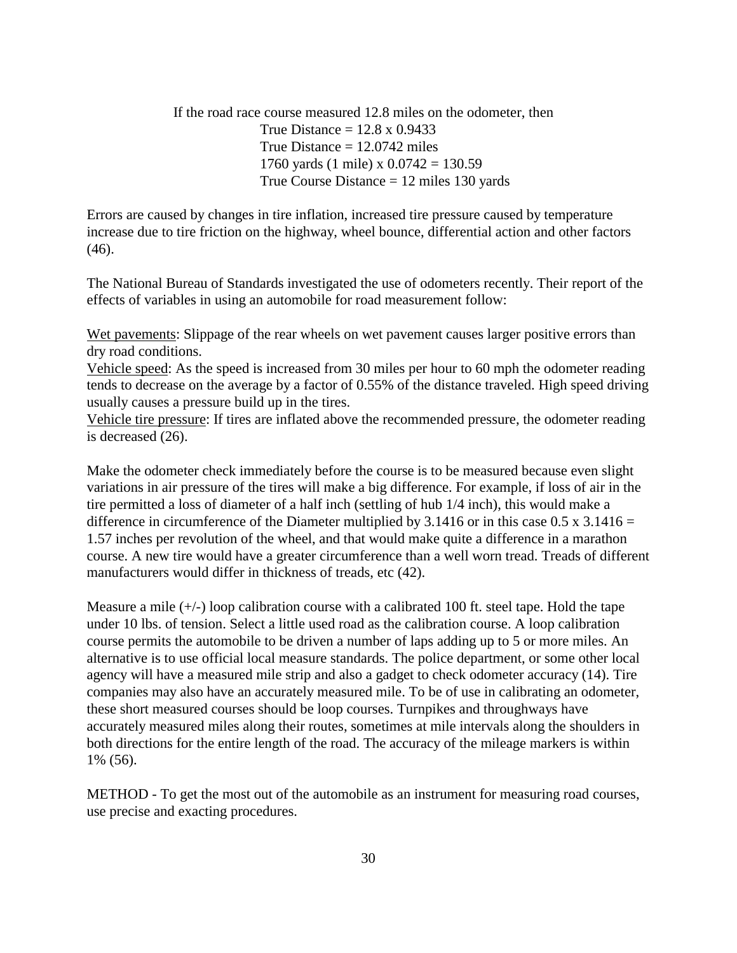If the road race course measured 12.8 miles on the odometer, then True Distance  $= 12.8 \times 0.9433$ True Distance  $= 12.0742$  miles 1760 yards (1 mile) x  $0.0742 = 130.59$ True Course Distance = 12 miles 130 yards

Errors are caused by changes in tire inflation, increased tire pressure caused by temperature increase due to tire friction on the highway, wheel bounce, differential action and other factors (46).

The National Bureau of Standards investigated the use of odometers recently. Their report of the effects of variables in using an automobile for road measurement follow:

Wet pavements: Slippage of the rear wheels on wet pavement causes larger positive errors than dry road conditions.

Vehicle speed: As the speed is increased from 30 miles per hour to 60 mph the odometer reading tends to decrease on the average by a factor of 0.55% of the distance traveled. High speed driving usually causes a pressure build up in the tires.

Vehicle tire pressure: If tires are inflated above the recommended pressure, the odometer reading is decreased (26).

Make the odometer check immediately before the course is to be measured because even slight variations in air pressure of the tires will make a big difference. For example, if loss of air in the tire permitted a loss of diameter of a half inch (settling of hub 1/4 inch), this would make a difference in circumference of the Diameter multiplied by 3.1416 or in this case  $0.5 \times 3.1416 =$ 1.57 inches per revolution of the wheel, and that would make quite a difference in a marathon course. A new tire would have a greater circumference than a well worn tread. Treads of different manufacturers would differ in thickness of treads, etc (42).

Measure a mile  $(+)$  loop calibration course with a calibrated 100 ft. steel tape. Hold the tape under 10 lbs. of tension. Select a little used road as the calibration course. A loop calibration course permits the automobile to be driven a number of laps adding up to 5 or more miles. An alternative is to use official local measure standards. The police department, or some other local agency will have a measured mile strip and also a gadget to check odometer accuracy (14). Tire companies may also have an accurately measured mile. To be of use in calibrating an odometer, these short measured courses should be loop courses. Turnpikes and throughways have accurately measured miles along their routes, sometimes at mile intervals along the shoulders in both directions for the entire length of the road. The accuracy of the mileage markers is within 1% (56).

METHOD - To get the most out of the automobile as an instrument for measuring road courses, use precise and exacting procedures.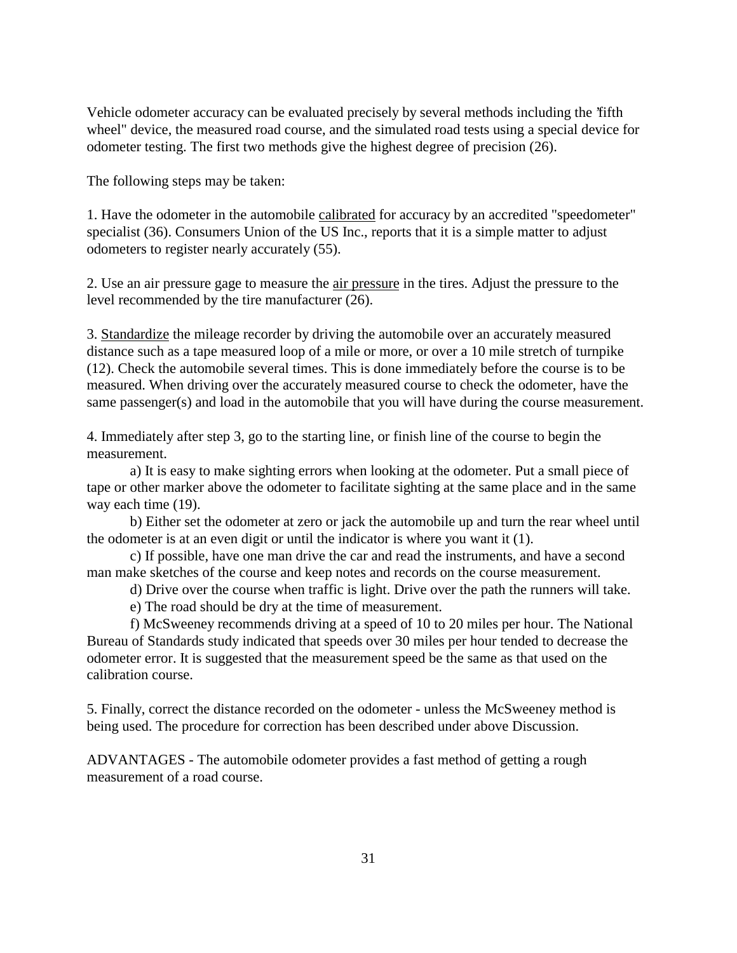Vehicle odometer accuracy can be evaluated precisely by several methods including the 'fifth wheel" device, the measured road course, and the simulated road tests using a special device for odometer testing. The first two methods give the highest degree of precision (26).

The following steps may be taken:

1. Have the odometer in the automobile calibrated for accuracy by an accredited "speedometer" specialist (36). Consumers Union of the US Inc., reports that it is a simple matter to adjust odometers to register nearly accurately (55).

2. Use an air pressure gage to measure the air pressure in the tires. Adjust the pressure to the level recommended by the tire manufacturer (26).

3. Standardize the mileage recorder by driving the automobile over an accurately measured distance such as a tape measured loop of a mile or more, or over a 10 mile stretch of turnpike (12). Check the automobile several times. This is done immediately before the course is to be measured. When driving over the accurately measured course to check the odometer, have the same passenger(s) and load in the automobile that you will have during the course measurement.

4. Immediately after step 3, go to the starting line, or finish line of the course to begin the measurement.

a) It is easy to make sighting errors when looking at the odometer. Put a small piece of tape or other marker above the odometer to facilitate sighting at the same place and in the same way each time (19).

b) Either set the odometer at zero or jack the automobile up and turn the rear wheel until the odometer is at an even digit or until the indicator is where you want it (1).

c) If possible, have one man drive the car and read the instruments, and have a second man make sketches of the course and keep notes and records on the course measurement.

d) Drive over the course when traffic is light. Drive over the path the runners will take.

e) The road should be dry at the time of measurement.

f) McSweeney recommends driving at a speed of 10 to 20 miles per hour. The National Bureau of Standards study indicated that speeds over 30 miles per hour tended to decrease the odometer error. It is suggested that the measurement speed be the same as that used on the calibration course.

5. Finally, correct the distance recorded on the odometer - unless the McSweeney method is being used. The procedure for correction has been described under above Discussion.

ADVANTAGES - The automobile odometer provides a fast method of getting a rough measurement of a road course.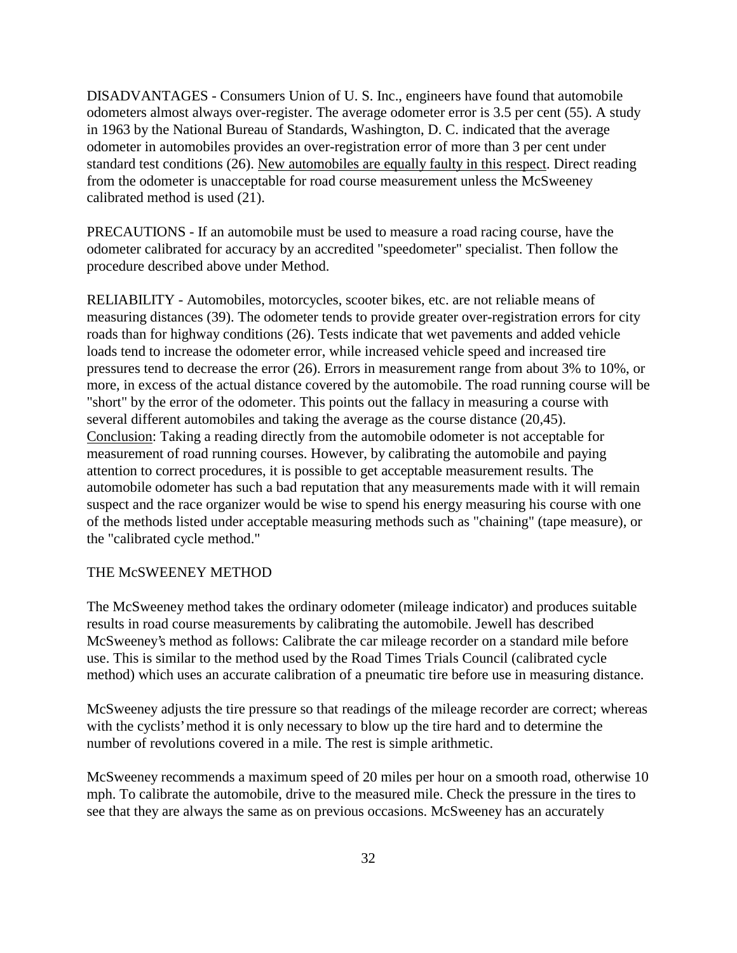DISADVANTAGES - Consumers Union of U. S. Inc., engineers have found that automobile odometers almost always over-register. The average odometer error is 3.5 per cent (55). A study in 1963 by the National Bureau of Standards, Washington, D. C. indicated that the average odometer in automobiles provides an over-registration error of more than 3 per cent under standard test conditions (26). New automobiles are equally faulty in this respect. Direct reading from the odometer is unacceptable for road course measurement unless the McSweeney calibrated method is used (21).

PRECAUTIONS - If an automobile must be used to measure a road racing course, have the odometer calibrated for accuracy by an accredited "speedometer" specialist. Then follow the procedure described above under Method.

RELIABILITY - Automobiles, motorcycles, scooter bikes, etc. are not reliable means of measuring distances (39). The odometer tends to provide greater over-registration errors for city roads than for highway conditions (26). Tests indicate that wet pavements and added vehicle loads tend to increase the odometer error, while increased vehicle speed and increased tire pressures tend to decrease the error (26). Errors in measurement range from about 3% to 10%, or more, in excess of the actual distance covered by the automobile. The road running course will be "short" by the error of the odometer. This points out the fallacy in measuring a course with several different automobiles and taking the average as the course distance (20,45). Conclusion: Taking a reading directly from the automobile odometer is not acceptable for measurement of road running courses. However, by calibrating the automobile and paying attention to correct procedures, it is possible to get acceptable measurement results. The automobile odometer has such a bad reputation that any measurements made with it will remain suspect and the race organizer would be wise to spend his energy measuring his course with one of the methods listed under acceptable measuring methods such as "chaining" (tape measure), or the "calibrated cycle method."

### THE McSWEENEY METHOD

The McSweeney method takes the ordinary odometer (mileage indicator) and produces suitable results in road course measurements by calibrating the automobile. Jewell has described McSweeney's method as follows: Calibrate the car mileage recorder on a standard mile before use. This is similar to the method used by the Road Times Trials Council (calibrated cycle method) which uses an accurate calibration of a pneumatic tire before use in measuring distance.

McSweeney adjusts the tire pressure so that readings of the mileage recorder are correct; whereas with the cyclists' method it is only necessary to blow up the tire hard and to determine the number of revolutions covered in a mile. The rest is simple arithmetic.

McSweeney recommends a maximum speed of 20 miles per hour on a smooth road, otherwise 10 mph. To calibrate the automobile, drive to the measured mile. Check the pressure in the tires to see that they are always the same as on previous occasions. McSweeney has an accurately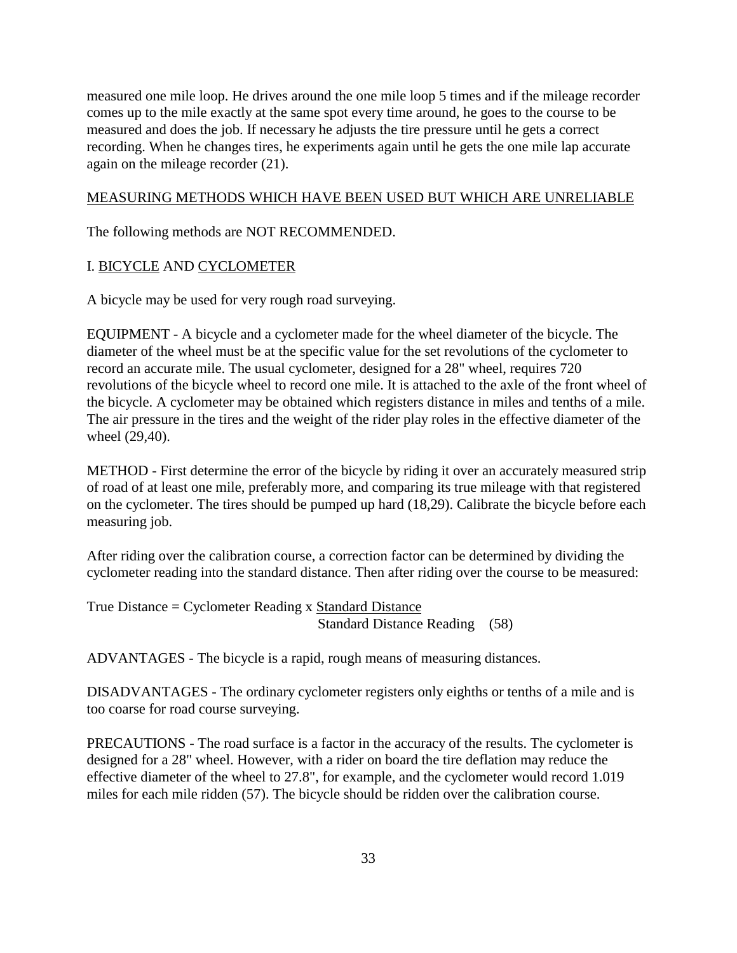measured one mile loop. He drives around the one mile loop 5 times and if the mileage recorder comes up to the mile exactly at the same spot every time around, he goes to the course to be measured and does the job. If necessary he adjusts the tire pressure until he gets a correct recording. When he changes tires, he experiments again until he gets the one mile lap accurate again on the mileage recorder (21).

### MEASURING METHODS WHICH HAVE BEEN USED BUT WHICH ARE UNRELIABLE

The following methods are NOT RECOMMENDED.

## I. BICYCLE AND CYCLOMETER

A bicycle may be used for very rough road surveying.

EQUIPMENT - A bicycle and a cyclometer made for the wheel diameter of the bicycle. The diameter of the wheel must be at the specific value for the set revolutions of the cyclometer to record an accurate mile. The usual cyclometer, designed for a 28" wheel, requires 720 revolutions of the bicycle wheel to record one mile. It is attached to the axle of the front wheel of the bicycle. A cyclometer may be obtained which registers distance in miles and tenths of a mile. The air pressure in the tires and the weight of the rider play roles in the effective diameter of the wheel (29,40).

METHOD - First determine the error of the bicycle by riding it over an accurately measured strip of road of at least one mile, preferably more, and comparing its true mileage with that registered on the cyclometer. The tires should be pumped up hard (18,29). Calibrate the bicycle before each measuring job.

After riding over the calibration course, a correction factor can be determined by dividing the cyclometer reading into the standard distance. Then after riding over the course to be measured:

True Distance = Cyclometer Reading x Standard Distance Standard Distance Reading (58)

ADVANTAGES - The bicycle is a rapid, rough means of measuring distances.

DISADVANTAGES - The ordinary cyclometer registers only eighths or tenths of a mile and is too coarse for road course surveying.

PRECAUTIONS - The road surface is a factor in the accuracy of the results. The cyclometer is designed for a 28" wheel. However, with a rider on board the tire deflation may reduce the effective diameter of the wheel to 27.8", for example, and the cyclometer would record 1.019 miles for each mile ridden (57). The bicycle should be ridden over the calibration course.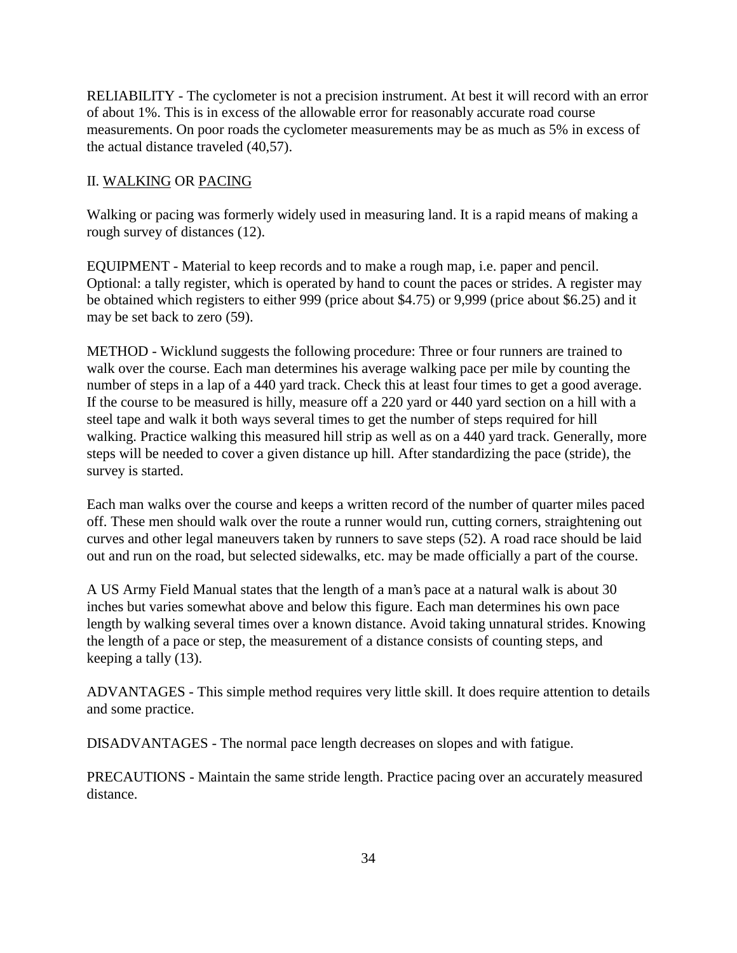RELIABILITY - The cyclometer is not a precision instrument. At best it will record with an error of about 1%. This is in excess of the allowable error for reasonably accurate road course measurements. On poor roads the cyclometer measurements may be as much as 5% in excess of the actual distance traveled (40,57).

## II. WALKING OR PACING

Walking or pacing was formerly widely used in measuring land. It is a rapid means of making a rough survey of distances (12).

EQUIPMENT - Material to keep records and to make a rough map, i.e. paper and pencil. Optional: a tally register, which is operated by hand to count the paces or strides. A register may be obtained which registers to either 999 (price about \$4.75) or 9,999 (price about \$6.25) and it may be set back to zero (59).

METHOD - Wicklund suggests the following procedure: Three or four runners are trained to walk over the course. Each man determines his average walking pace per mile by counting the number of steps in a lap of a 440 yard track. Check this at least four times to get a good average. If the course to be measured is hilly, measure off a 220 yard or 440 yard section on a hill with a steel tape and walk it both ways several times to get the number of steps required for hill walking. Practice walking this measured hill strip as well as on a 440 yard track. Generally, more steps will be needed to cover a given distance up hill. After standardizing the pace (stride), the survey is started.

Each man walks over the course and keeps a written record of the number of quarter miles paced off. These men should walk over the route a runner would run, cutting corners, straightening out curves and other legal maneuvers taken by runners to save steps (52). A road race should be laid out and run on the road, but selected sidewalks, etc. may be made officially a part of the course.

A US Army Field Manual states that the length of a man's pace at a natural walk is about 30 inches but varies somewhat above and below this figure. Each man determines his own pace length by walking several times over a known distance. Avoid taking unnatural strides. Knowing the length of a pace or step, the measurement of a distance consists of counting steps, and keeping a tally (13).

ADVANTAGES - This simple method requires very little skill. It does require attention to details and some practice.

DISADVANTAGES - The normal pace length decreases on slopes and with fatigue.

PRECAUTIONS - Maintain the same stride length. Practice pacing over an accurately measured distance.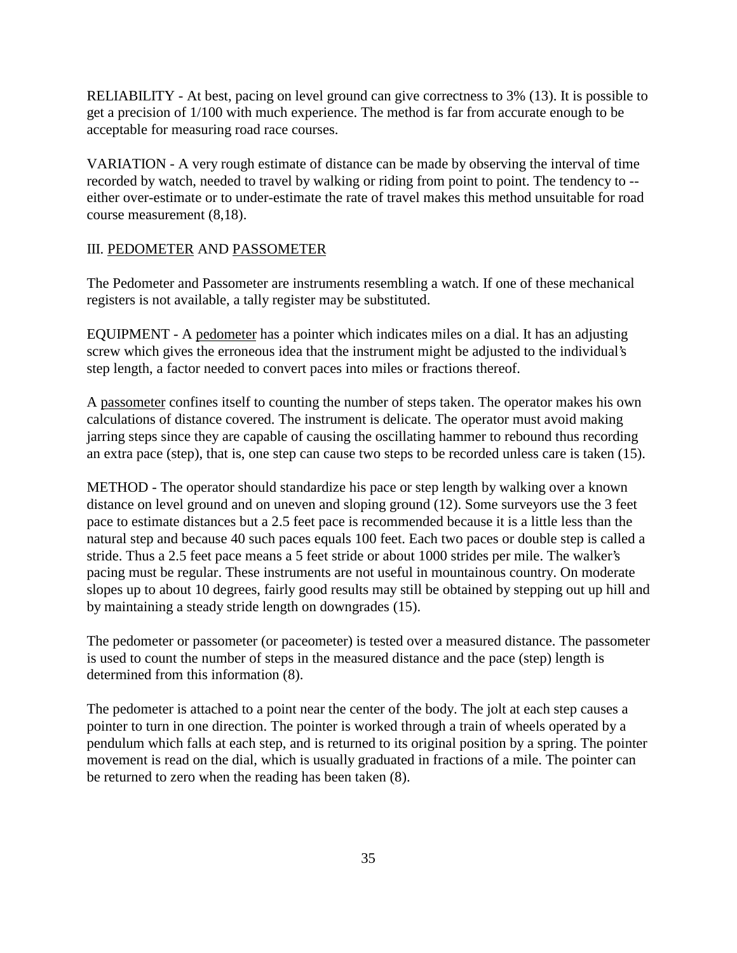RELIABILITY - At best, pacing on level ground can give correctness to 3% (13). It is possible to get a precision of 1/100 with much experience. The method is far from accurate enough to be acceptable for measuring road race courses.

VARIATION - A very rough estimate of distance can be made by observing the interval of time recorded by watch, needed to travel by walking or riding from point to point. The tendency to - either over-estimate or to under-estimate the rate of travel makes this method unsuitable for road course measurement (8,18).

## III. PEDOMETER AND PASSOMETER

The Pedometer and Passometer are instruments resembling a watch. If one of these mechanical registers is not available, a tally register may be substituted.

EQUIPMENT - A pedometer has a pointer which indicates miles on a dial. It has an adjusting screw which gives the erroneous idea that the instrument might be adjusted to the individual's step length, a factor needed to convert paces into miles or fractions thereof.

A passometer confines itself to counting the number of steps taken. The operator makes his own calculations of distance covered. The instrument is delicate. The operator must avoid making jarring steps since they are capable of causing the oscillating hammer to rebound thus recording an extra pace (step), that is, one step can cause two steps to be recorded unless care is taken (15).

METHOD - The operator should standardize his pace or step length by walking over a known distance on level ground and on uneven and sloping ground (12). Some surveyors use the 3 feet pace to estimate distances but a 2.5 feet pace is recommended because it is a little less than the natural step and because 40 such paces equals 100 feet. Each two paces or double step is called a stride. Thus a 2.5 feet pace means a 5 feet stride or about 1000 strides per mile. The walker's pacing must be regular. These instruments are not useful in mountainous country. On moderate slopes up to about 10 degrees, fairly good results may still be obtained by stepping out up hill and by maintaining a steady stride length on downgrades (15).

The pedometer or passometer (or paceometer) is tested over a measured distance. The passometer is used to count the number of steps in the measured distance and the pace (step) length is determined from this information (8).

The pedometer is attached to a point near the center of the body. The jolt at each step causes a pointer to turn in one direction. The pointer is worked through a train of wheels operated by a pendulum which falls at each step, and is returned to its original position by a spring. The pointer movement is read on the dial, which is usually graduated in fractions of a mile. The pointer can be returned to zero when the reading has been taken (8).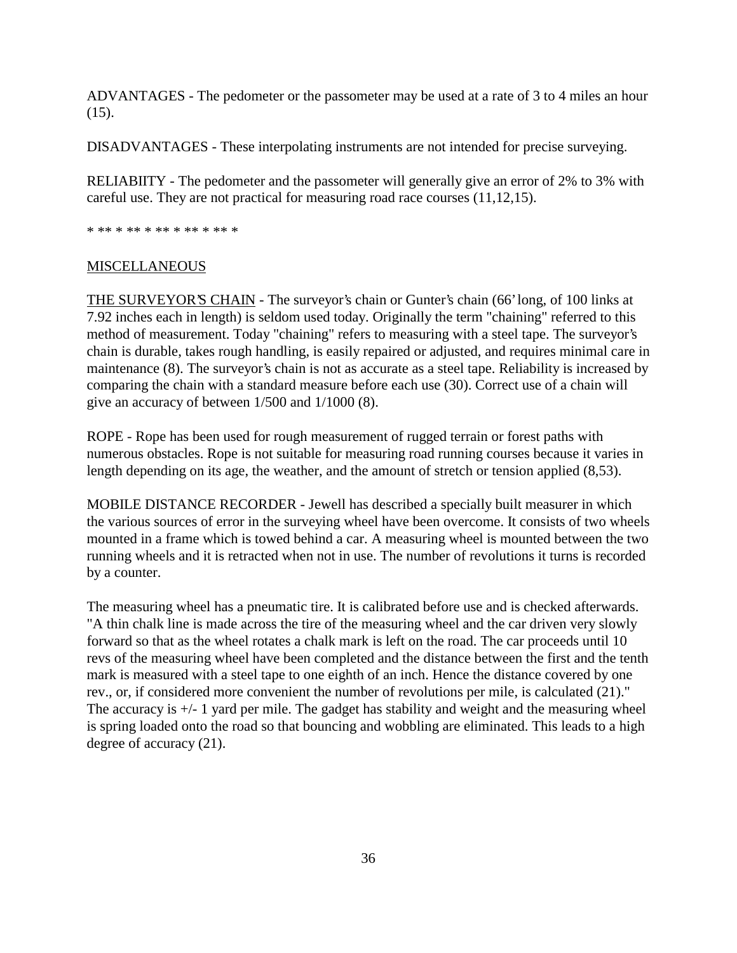ADVANTAGES - The pedometer or the passometer may be used at a rate of 3 to 4 miles an hour  $(15)$ .

DISADVANTAGES - These interpolating instruments are not intended for precise surveying.

RELIABIITY - The pedometer and the passometer will generally give an error of 2% to 3% with careful use. They are not practical for measuring road race courses (11,12,15).

\* \*\* \* \*\* \* \*\* \* \*\* \* \* \*

### MISCELLANEOUS

THE SURVEYOR'S CHAIN - The surveyor's chain or Gunter's chain (66' long, of 100 links at 7.92 inches each in length) is seldom used today. Originally the term "chaining" referred to this method of measurement. Today "chaining" refers to measuring with a steel tape. The surveyor's chain is durable, takes rough handling, is easily repaired or adjusted, and requires minimal care in maintenance (8). The surveyor's chain is not as accurate as a steel tape. Reliability is increased by comparing the chain with a standard measure before each use (30). Correct use of a chain will give an accuracy of between 1/500 and 1/1000 (8).

ROPE - Rope has been used for rough measurement of rugged terrain or forest paths with numerous obstacles. Rope is not suitable for measuring road running courses because it varies in length depending on its age, the weather, and the amount of stretch or tension applied (8,53).

MOBILE DISTANCE RECORDER - Jewell has described a specially built measurer in which the various sources of error in the surveying wheel have been overcome. It consists of two wheels mounted in a frame which is towed behind a car. A measuring wheel is mounted between the two running wheels and it is retracted when not in use. The number of revolutions it turns is recorded by a counter.

The measuring wheel has a pneumatic tire. It is calibrated before use and is checked afterwards. "A thin chalk line is made across the tire of the measuring wheel and the car driven very slowly forward so that as the wheel rotates a chalk mark is left on the road. The car proceeds until 10 revs of the measuring wheel have been completed and the distance between the first and the tenth mark is measured with a steel tape to one eighth of an inch. Hence the distance covered by one rev., or, if considered more convenient the number of revolutions per mile, is calculated (21)." The accuracy is  $+/- 1$  yard per mile. The gadget has stability and weight and the measuring wheel is spring loaded onto the road so that bouncing and wobbling are eliminated. This leads to a high degree of accuracy (21).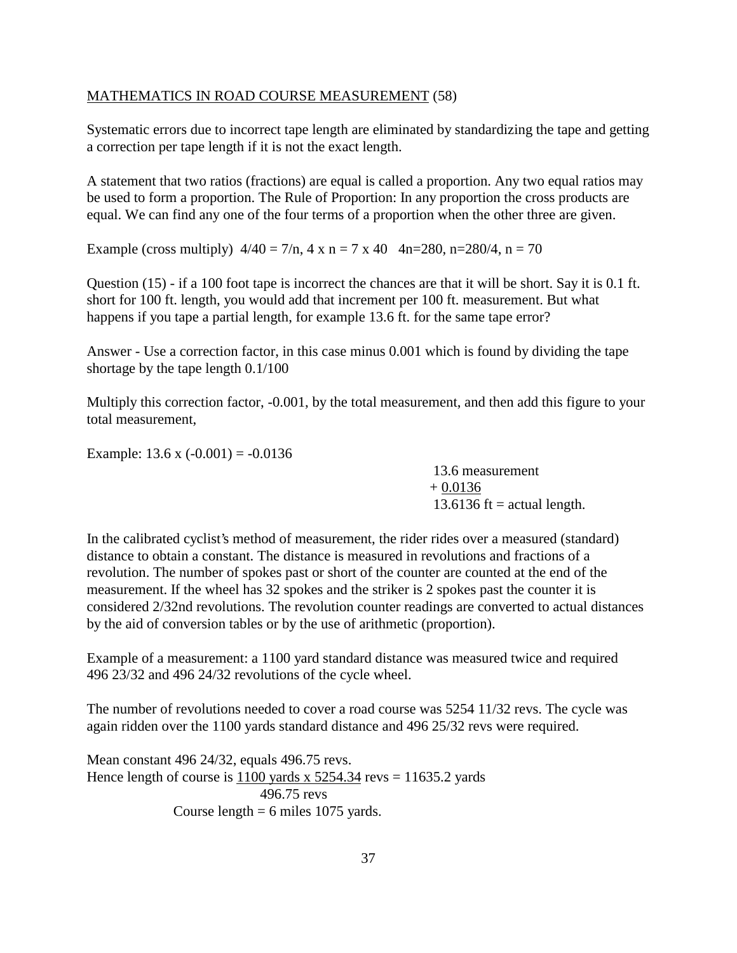## MATHEMATICS IN ROAD COURSE MEASUREMENT (58)

Systematic errors due to incorrect tape length are eliminated by standardizing the tape and getting a correction per tape length if it is not the exact length.

A statement that two ratios (fractions) are equal is called a proportion. Any two equal ratios may be used to form a proportion. The Rule of Proportion: In any proportion the cross products are equal. We can find any one of the four terms of a proportion when the other three are given.

Example (cross multiply)  $4/40 = 7/n$ ,  $4 \times n = 7 \times 40$   $4n=280$ ,  $n=280/4$ ,  $n = 70$ 

Question (15) - if a 100 foot tape is incorrect the chances are that it will be short. Say it is 0.1 ft. short for 100 ft. length, you would add that increment per 100 ft. measurement. But what happens if you tape a partial length, for example 13.6 ft. for the same tape error?

Answer - Use a correction factor, in this case minus 0.001 which is found by dividing the tape shortage by the tape length 0.1/100

Multiply this correction factor, -0.001, by the total measurement, and then add this figure to your total measurement,

Example:  $13.6 \text{ x } (-0.001) = -0.0136$ 

13.6 measurement  $+ 0.0136$ 13.6136 ft = actual length.

In the calibrated cyclist's method of measurement, the rider rides over a measured (standard) distance to obtain a constant. The distance is measured in revolutions and fractions of a revolution. The number of spokes past or short of the counter are counted at the end of the measurement. If the wheel has 32 spokes and the striker is 2 spokes past the counter it is considered 2/32nd revolutions. The revolution counter readings are converted to actual distances by the aid of conversion tables or by the use of arithmetic (proportion).

Example of a measurement: a 1100 yard standard distance was measured twice and required 496 23/32 and 496 24/32 revolutions of the cycle wheel.

The number of revolutions needed to cover a road course was 5254 11/32 revs. The cycle was again ridden over the 1100 yards standard distance and 496 25/32 revs were required.

Mean constant 496 24/32, equals 496.75 revs. Hence length of course is 1100 yards x  $5254.34$  revs = 11635.2 yards 496.75 revs Course length  $= 6$  miles 1075 yards.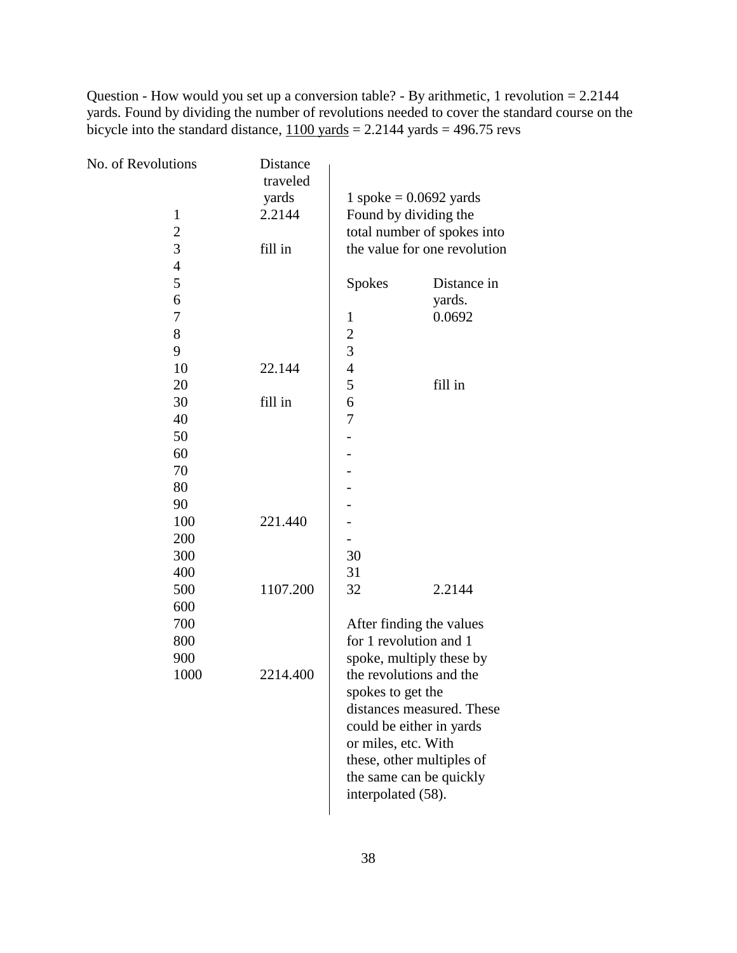Question - How would you set up a conversion table? - By arithmetic, 1 revolution = 2.2144 yards. Found by dividing the number of revolutions needed to cover the standard course on the bicycle into the standard distance,  $1100$  yards = 2.2144 yards = 496.75 revs

| No. of Revolutions | Distance |                             |                              |
|--------------------|----------|-----------------------------|------------------------------|
|                    | traveled |                             |                              |
|                    | yards    |                             | 1 spoke $= 0.0692$ yards     |
| $\mathbf{1}$       | 2.2144   | Found by dividing the       |                              |
| $\overline{c}$     |          | total number of spokes into |                              |
| $\overline{3}$     | fill in  |                             | the value for one revolution |
| $\overline{4}$     |          |                             |                              |
| 5                  |          | <b>Spokes</b>               | Distance in                  |
| 6                  |          |                             | yards.                       |
| 7                  |          | $\mathbf{1}$                | 0.0692                       |
| 8                  |          | $\overline{c}$              |                              |
| 9                  |          | $\overline{3}$              |                              |
| 10                 | 22.144   | $\overline{4}$              |                              |
| 20                 |          | 5                           | fill in                      |
| 30                 | fill in  | 6                           |                              |
| 40                 |          | $\overline{7}$              |                              |
| 50                 |          |                             |                              |
| 60                 |          |                             |                              |
| 70                 |          |                             |                              |
| 80                 |          |                             |                              |
| 90                 |          |                             |                              |
| 100                | 221.440  |                             |                              |
| 200                |          |                             |                              |
| 300                |          | 30                          |                              |
| 400                |          | 31                          |                              |
| 500                | 1107.200 | 32                          | 2.2144                       |
| 600                |          |                             |                              |
| 700                |          |                             | After finding the values     |
| 800                |          |                             | for 1 revolution and 1       |
| 900                |          |                             | spoke, multiply these by     |
| 1000               | 2214.400 |                             | the revolutions and the      |
|                    |          | spokes to get the           |                              |
|                    |          |                             | distances measured. These    |
|                    |          |                             | could be either in yards     |
|                    |          | or miles, etc. With         |                              |
|                    |          |                             |                              |
|                    |          |                             | these, other multiples of    |
|                    |          |                             | the same can be quickly      |
|                    |          | interpolated (58).          |                              |
|                    |          |                             |                              |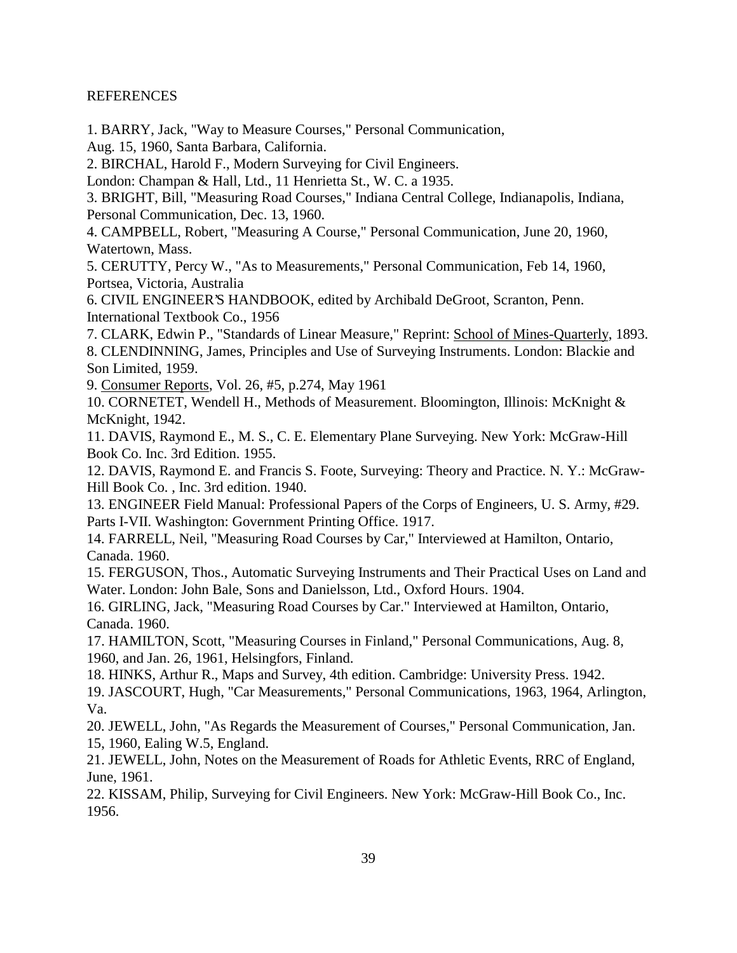## **REFERENCES**

1. BARRY, Jack, "Way to Measure Courses," Personal Communication,

Aug. 15, 1960, Santa Barbara, California.

2. BIRCHAL, Harold F., Modern Surveying for Civil Engineers.

London: Champan & Hall, Ltd., 11 Henrietta St., W. C. a 1935.

3. BRIGHT, Bill, "Measuring Road Courses," Indiana Central College, Indianapolis, Indiana, Personal Communication, Dec. 13, 1960.

4. CAMPBELL, Robert, "Measuring A Course," Personal Communication, June 20, 1960, Watertown, Mass.

5. CERUTTY, Percy W., "As to Measurements," Personal Communication, Feb 14, 1960, Portsea, Victoria, Australia

6. CIVIL ENGINEER'S HANDBOOK, edited by Archibald DeGroot, Scranton, Penn. International Textbook Co., 1956

7. CLARK, Edwin P., "Standards of Linear Measure," Reprint: School of Mines-Quarterly, 1893.

8. CLENDINNING, James, Principles and Use of Surveying Instruments. London: Blackie and Son Limited, 1959.

9. Consumer Reports, Vol. 26, #5, p.274, May 1961

10. CORNETET, Wendell H., Methods of Measurement. Bloomington, Illinois: McKnight & McKnight, 1942.

11. DAVIS, Raymond E., M. S., C. E. Elementary Plane Surveying. New York: McGraw-Hill Book Co. Inc. 3rd Edition. 1955.

12. DAVIS, Raymond E. and Francis S. Foote, Surveying: Theory and Practice. N. Y.: McGraw-Hill Book Co. , Inc. 3rd edition. 1940.

13. ENGINEER Field Manual: Professional Papers of the Corps of Engineers, U. S. Army, #29. Parts I-VII. Washington: Government Printing Office. 1917.

14. FARRELL, Neil, "Measuring Road Courses by Car," Interviewed at Hamilton, Ontario, Canada. 1960.

15. FERGUSON, Thos., Automatic Surveying Instruments and Their Practical Uses on Land and Water. London: John Bale, Sons and Danielsson, Ltd., Oxford Hours. 1904.

16. GIRLING, Jack, "Measuring Road Courses by Car." Interviewed at Hamilton, Ontario, Canada. 1960.

17. HAMILTON, Scott, "Measuring Courses in Finland," Personal Communications, Aug. 8, 1960, and Jan. 26, 1961, Helsingfors, Finland.

18. HINKS, Arthur R., Maps and Survey, 4th edition. Cambridge: University Press. 1942.

19. JASCOURT, Hugh, "Car Measurements," Personal Communications, 1963, 1964, Arlington, Va.

20. JEWELL, John, "As Regards the Measurement of Courses," Personal Communication, Jan. 15, 1960, Ealing W.5, England.

21. JEWELL, John, Notes on the Measurement of Roads for Athletic Events, RRC of England, June, 1961.

22. KISSAM, Philip, Surveying for Civil Engineers. New York: McGraw-Hill Book Co., Inc. 1956.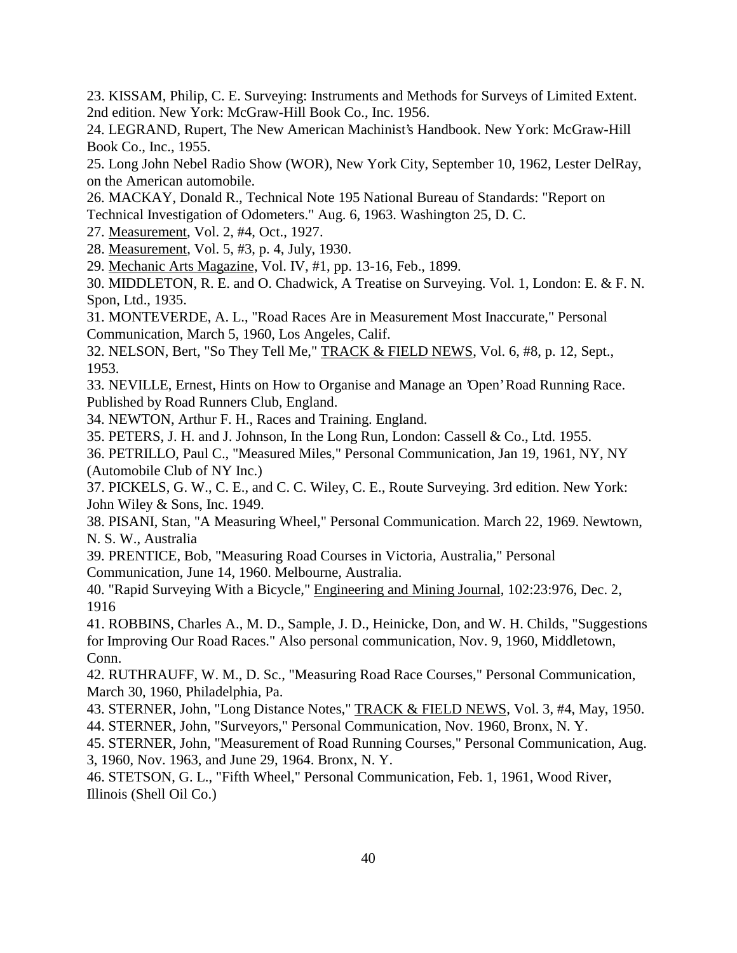23. KISSAM, Philip, C. E. Surveying: Instruments and Methods for Surveys of Limited Extent. 2nd edition. New York: McGraw-Hill Book Co., Inc. 1956.

24. LEGRAND, Rupert, The New American Machinist's Handbook. New York: McGraw-Hill Book Co., Inc., 1955.

25. Long John Nebel Radio Show (WOR), New York City, September 10, 1962, Lester DelRay, on the American automobile.

26. MACKAY, Donald R., Technical Note 195 National Bureau of Standards: "Report on Technical Investigation of Odometers." Aug. 6, 1963. Washington 25, D. C.

27. Measurement, Vol. 2, #4, Oct., 1927.

28. Measurement, Vol. 5, #3, p. 4, July, 1930.

29. Mechanic Arts Magazine, Vol. IV, #1, pp. 13-16, Feb., 1899.

30. MIDDLETON, R. E. and O. Chadwick, A Treatise on Surveying. Vol. 1, London: E. & F. N. Spon, Ltd., 1935.

31. MONTEVERDE, A. L., "Road Races Are in Measurement Most Inaccurate," Personal Communication, March 5, 1960, Los Angeles, Calif.

32. NELSON, Bert, "So They Tell Me," TRACK & FIELD NEWS, Vol. 6, #8, p. 12, Sept., 1953.

33. NEVILLE, Ernest, Hints on How to Organise and Manage an 'Open' Road Running Race. Published by Road Runners Club, England.

34. NEWTON, Arthur F. H., Races and Training. England.

35. PETERS, J. H. and J. Johnson, In the Long Run, London: Cassell & Co., Ltd. 1955.

36. PETRILLO, Paul C., "Measured Miles," Personal Communication, Jan 19, 1961, NY, NY (Automobile Club of NY Inc.)

37. PICKELS, G. W., C. E., and C. C. Wiley, C. E., Route Surveying. 3rd edition. New York: John Wiley & Sons, Inc. 1949.

38. PISANI, Stan, "A Measuring Wheel," Personal Communication. March 22, 1969. Newtown, N. S. W., Australia

39. PRENTICE, Bob, "Measuring Road Courses in Victoria, Australia," Personal Communication, June 14, 1960. Melbourne, Australia.

40. "Rapid Surveying With a Bicycle," Engineering and Mining Journal, 102:23:976, Dec. 2, 1916

41. ROBBINS, Charles A., M. D., Sample, J. D., Heinicke, Don, and W. H. Childs, "Suggestions for Improving Our Road Races." Also personal communication, Nov. 9, 1960, Middletown, Conn.

42. RUTHRAUFF, W. M., D. Sc., "Measuring Road Race Courses," Personal Communication, March 30, 1960, Philadelphia, Pa.

43. STERNER, John, "Long Distance Notes," TRACK & FIELD NEWS, Vol. 3, #4, May, 1950. 44. STERNER, John, "Surveyors," Personal Communication, Nov. 1960, Bronx, N. Y.

45. STERNER, John, "Measurement of Road Running Courses," Personal Communication, Aug. 3, 1960, Nov. 1963, and June 29, 1964. Bronx, N. Y.

46. STETSON, G. L., "Fifth Wheel," Personal Communication, Feb. 1, 1961, Wood River, Illinois (Shell Oil Co.)